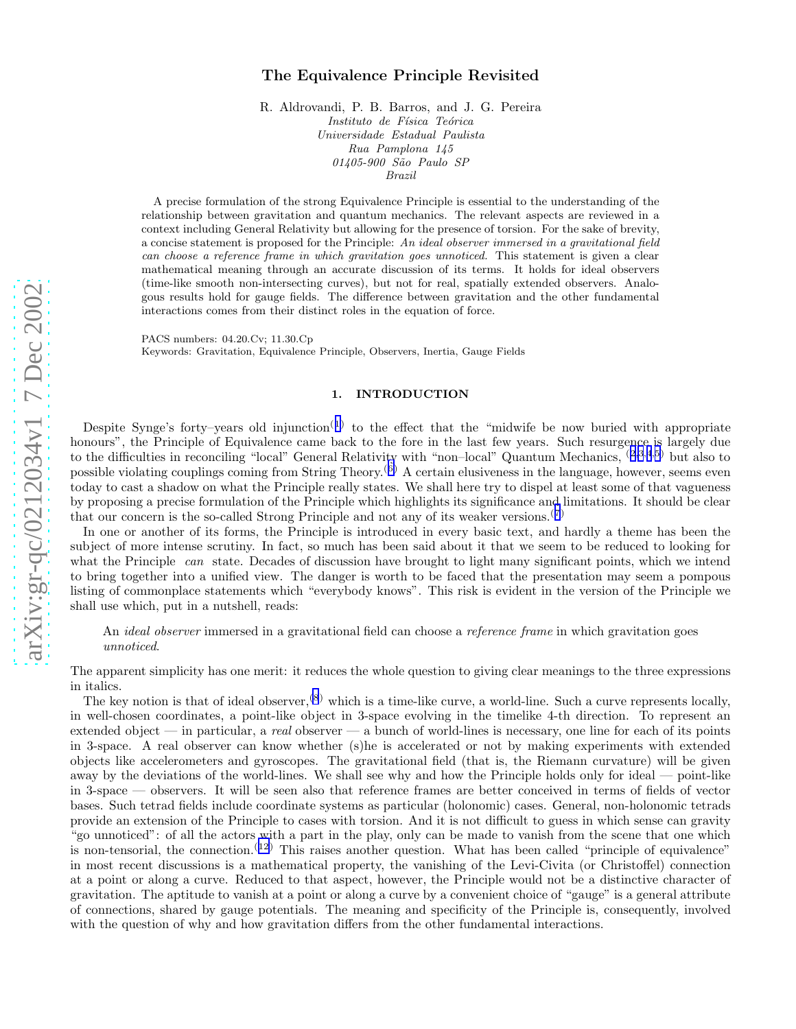# arXiv:gr-qc/0212034v1 7 Dec 2002 [arXiv:gr-qc/0212034v1 7 Dec 2002](http://arxiv.org/abs/gr-qc/0212034v1)

# The Equivalence Principle Revisited

R. Aldrovandi, P. B. Barros, and J. G. Pereira Instituto de Física Teórica Universidade Estadual Paulista Rua Pamplona 145 01405-900 São Paulo SP Brazil

A precise formulation of the strong Equivalence Principle is essential to the understanding of the relationship between gravitation and quantum mechanics. The relevant aspects are reviewed in a context including General Relativity but allowing for the presence of torsion. For the sake of brevity, a concise statement is proposed for the Principle: An ideal observer immersed in a gravitational field can choose a reference frame in which gravitation goes unnoticed. This statement is given a clear mathematical meaning through an accurate discussion of its terms. It holds for ideal observers (time-like smooth non-intersecting curves), but not for real, spatially extended observers. Analogous results hold for gauge fields. The difference between gravitation and the other fundamental interactions comes from their distinct roles in the equation of force.

PACS numbers: 04.20.Cv; 11.30.Cp Keywords: Gravitation, Equivalence Principle, Observers, Inertia, Gauge Fields

# 1. INTRODUCTION

Despite Synge's forty–years old injunction<sup>([1](#page-16-0))</sup> to the effect that the "midwife be now buried with appropriate honours", the Principle of Equivalence came back to the fore in the last few years. Such resurgence is largely due to the difficulties in reconciling "local" General Relativity with "non-local" Quantum Mechanics,  $(2,3,4,5)$  $(2,3,4,5)$  $(2,3,4,5)$  $(2,3,4,5)$  $(2,3,4,5)$  $(2,3,4,5)$  $(2,3,4,5)$  but also to possible violating couplings coming from String Theory.<sup>([6\)](#page-16-0)</sup> A certain elusiveness in the language, however, seems even today to cast a shadow on what the Principle really states. We shall here try to dispel at least some of that vagueness by proposing a precise formulation of the Principle which highlights its significance and limitations. It should be clear that our concern is the so-called Strong Principle and not any of its weaker versions.<sup> $(7)$  $(7)$  $(7)$ </sup>

In one or another of its forms, the Principle is introduced in every basic text, and hardly a theme has been the subject of more intense scrutiny. In fact, so much has been said about it that we seem to be reduced to looking for what the Principle can state. Decades of discussion have brought to light many significant points, which we intend to bring together into a unified view. The danger is worth to be faced that the presentation may seem a pompous listing of commonplace statements which "everybody knows". This risk is evident in the version of the Principle we shall use which, put in a nutshell, reads:

An *ideal observer* immersed in a gravitational field can choose a *reference frame* in which gravitation goes unnoticed .

The apparent simplicity has one merit: it reduces the whole question to giving clear meanings to the three expressions in italics.

The key notion is that of ideal observer,  $(8)$  $(8)$  which is a time-like curve, a world-line. Such a curve represents locally, in well-chosen coordinates, a point-like object in 3-space evolving in the timelike 4-th direction. To represent an extended object — in particular, a real observer — a bunch of world-lines is necessary, one line for each of its points in 3-space. A real observer can know whether (s)he is accelerated or not by making experiments with extended objects like accelerometers and gyroscopes. The gravitational field (that is, the Riemann curvature) will be given away by the deviations of the world-lines. We shall see why and how the Principle holds only for ideal — point-like in 3-space — observers. It will be seen also that reference frames are better conceived in terms of fields of vector bases. Such tetrad fields include coordinate systems as particular (holonomic) cases. General, non-holonomic tetrads provide an extension of the Principle to cases with torsion. And it is not difficult to guess in which sense can gravity "go unnoticed": of all the actors with a part in the play, only can be made to vanish from the scene that one which is non-tensorial, the connection.<sup>([12](#page-17-0))</sup> This raises another question. What has been called "principle of equivalence" in most recent discussions is a mathematical property, the vanishing of the Levi-Civita (or Christoffel) connection at a point or along a curve. Reduced to that aspect, however, the Principle would not be a distinctive character of gravitation. The aptitude to vanish at a point or along a curve by a convenient choice of "gauge" is a general attribute of connections, shared by gauge potentials. The meaning and specificity of the Principle is, consequently, involved with the question of why and how gravitation differs from the other fundamental interactions.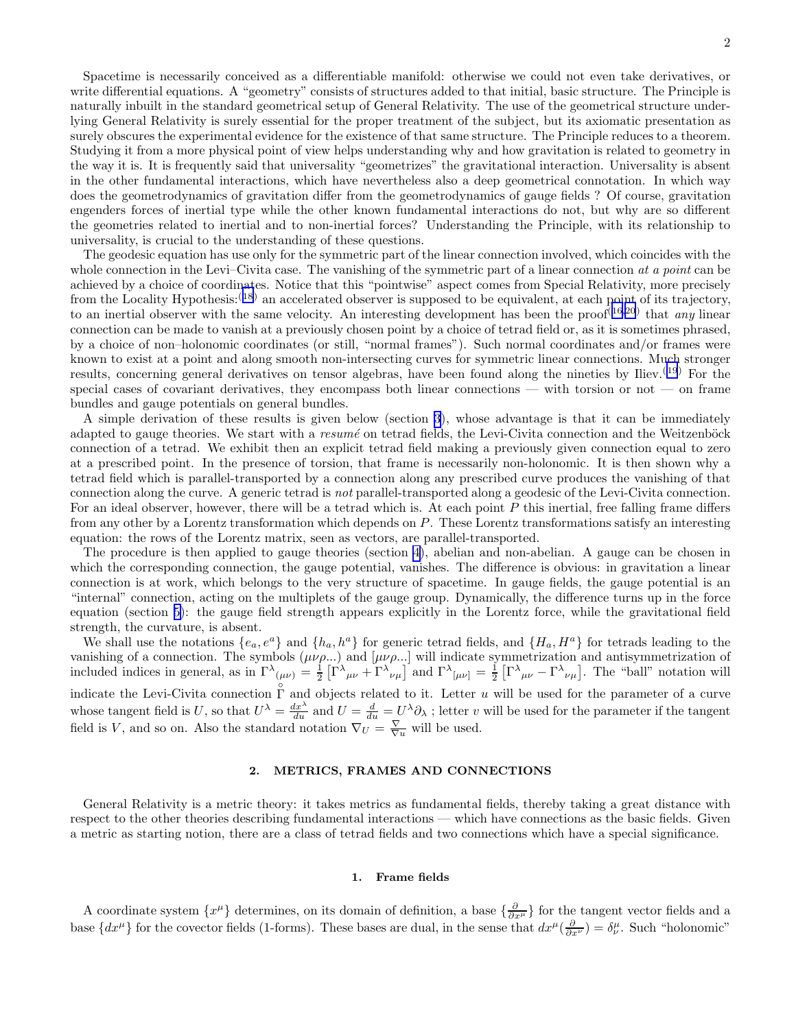Spacetime is necessarily conceived as a differentiable manifold: otherwise we could not even take derivatives, or write differential equations. A "geometry" consists of structures added to that initial, basic structure. The Principle is naturally inbuilt in the standard geometrical setup of General Relativity. The use of the geometrical structure underlying General Relativity is surely essential for the proper treatment of the subject, but its axiomatic presentation as surely obscures the experimental evidence for the existence of that same structure. The Principle reduces to a theorem. Studying it from a more physical point of view helps understanding why and how gravitation is related to geometry in the way it is. It is frequently said that universality "geometrizes" the gravitational interaction. Universality is absent in the other fundamental interactions, which have nevertheless also a deep geometrical connotation. In which way does the geometrodynamics of gravitation differ from the geometrodynamics of gauge fields ? Of course, gravitation engenders forces of inertial type while the other known fundamental interactions do not, but why are so different the geometries related to inertial and to non-inertial forces? Understanding the Principle, with its relationship to universality, is crucial to the understanding of these questions.

The geodesic equation has use only for the symmetric part of the linear connection involved, which coincides with the whole connection in the Levi–Civita case. The vanishing of the symmetric part of a linear connection  $at\ a\ point$  can be achieved by a choice of coordinates. Notice that this "pointwise" aspect comes from Special Relativity, more precisely from the Locality Hypothesis:<sup>([18](#page-17-0))</sup> an accelerated observer is supposed to be equivalent, at each point of its trajectory, to an inertial observer with the same velocity. An interesting development has been the proof<sup>([16,20](#page-17-0))</sup> that any linear connection can be made to vanish at a previously chosen point by a choice of tetrad field or, as it is sometimes phrased, by a choice of non–holonomic coordinates (or still, "normal frames"). Such normal coordinates and/or frames were known to exist at a point and along smooth non-intersecting curves for symmetric linear connections. Much stronger results, concerning general derivatives on tensor algebras, have been found along the nineties by Iliev.<sup>([19](#page-17-0))</sup> For the special cases of covariant derivatives, they encompass both linear connections — with torsion or not — on frame bundles and gauge potentials on general bundles.

A simple derivation of these results is given below (section [3](#page-7-0)), whose advantage is that it can be immediately adapted to gauge theories. We start with a resume on tetrad fields, the Levi-Civita connection and the Weitzenböck connection of a tetrad. We exhibit then an explicit tetrad field making a previously given connection equal to zero at a prescribed point. In the presence of torsion, that frame is necessarily non-holonomic. It is then shown why a tetrad field which is parallel-transported by a connection along any prescribed curve produces the vanishing of that connection along the curve. A generic tetrad is not parallel-transported along a geodesic of the Levi-Civita connection. For an ideal observer, however, there will be a tetrad which is. At each point P this inertial, free falling frame differs from any other by a Lorentz transformation which depends on P. These Lorentz transformations satisfy an interesting equation: the rows of the Lorentz matrix, seen as vectors, are parallel-transported.

The procedure is then applied to gauge theories (section [4](#page-14-0)), abelian and non-abelian. A gauge can be chosen in which the corresponding connection, the gauge potential, vanishes. The difference is obvious: in gravitation a linear connection is at work, which belongs to the very structure of spacetime. In gauge fields, the gauge potential is an "internal" connection, acting on the multiplets of the gauge group. Dynamically, the difference turns up in the force equation (section [5\)](#page-15-0): the gauge field strength appears explicitly in the Lorentz force, while the gravitational field strength, the curvature, is absent.

We shall use the notations  $\{e_a, e^a\}$  and  $\{h_a, h^a\}$  for generic tetrad fields, and  $\{H_a, H^a\}$  for tetrads leading to the vanishing of a connection. The symbols  $(\mu\nu\rho)$  and  $[\mu\nu\rho]$  will indicate symmetrization and antisymmetrization of included indices in general, as in  $\Gamma^{\lambda}{}_{(\mu\nu)} = \frac{1}{2} \left[ \Gamma^{\lambda}{}_{\mu\nu} + \Gamma^{\lambda}{}_{\nu\mu} \right]$  and  $\Gamma^{\lambda}{}_{[\mu\nu]} = \frac{1}{2} \left[ \Gamma^{\lambda}{}_{\mu\nu} - \Gamma^{\lambda}{}_{\nu\mu} \right]$ . The "ball" notation will indicate the Levi-Civita connection  $\int_{0}^{\infty}$  and objects related to it. Letter u will be used for the parameter of a curve whose tangent field is U, so that  $U^{\lambda} = \frac{dx^{\lambda}}{du}$  and  $U = \frac{d}{du} = U^{\lambda} \partial_{\lambda}$ ; letter v will be used for the parameter if the tangent field is V, and so on. Also the standard notation  $\nabla_U = \frac{\nabla}{\nabla u}$  will be used.

# 2. METRICS, FRAMES AND CONNECTIONS

General Relativity is a metric theory: it takes metrics as fundamental fields, thereby taking a great distance with respect to the other theories describing fundamental interactions — which have connections as the basic fields. Given a metric as starting notion, there are a class of tetrad fields and two connections which have a special significance.

### 1. Frame fields

A coordinate system  $\{x^{\mu}\}\$  determines, on its domain of definition, a base  $\{\frac{\partial}{\partial x^{\mu}}\}\$ for the tangent vector fields and a base  $\{dx^{\mu}\}\$ for the covector fields (1-forms). These bases are dual, in the sense that  $dx^{\mu}(\frac{\partial}{\partial x^{\nu}})=\delta^{\mu}_{\nu}$ . Such "holonomic"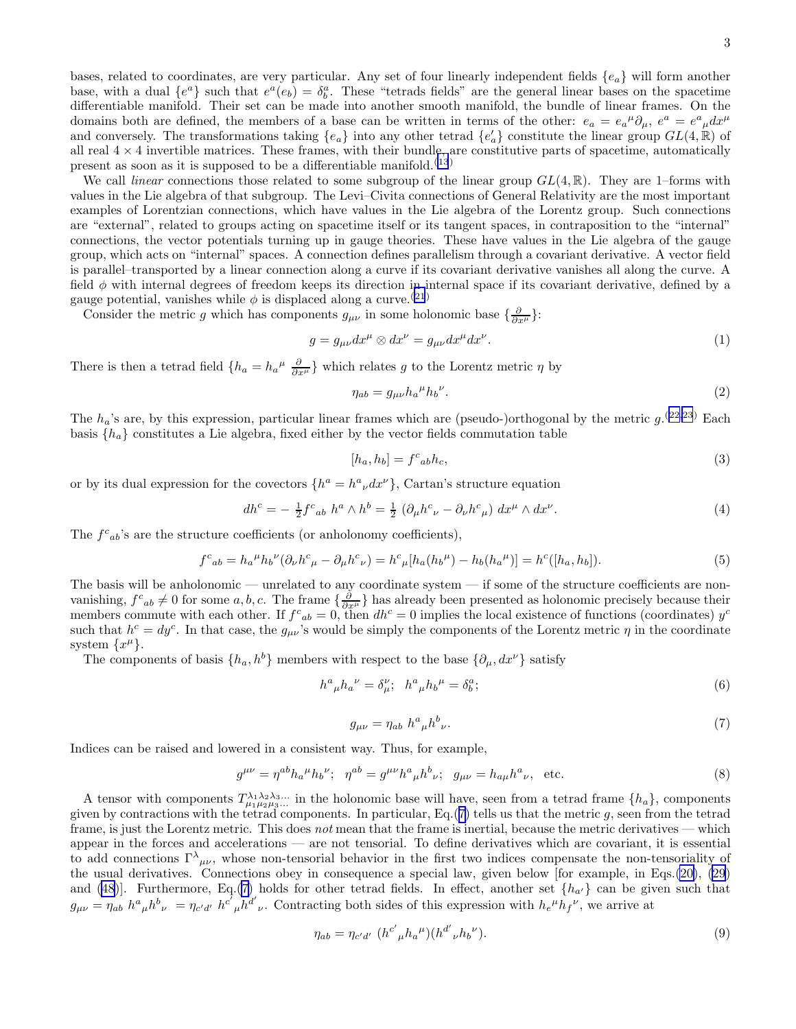<span id="page-2-0"></span>bases, related to coordinates, are very particular. Any set of four linearly independent fields  $\{e_a\}$  will form another base, with a dual  $\{e^a\}$  such that  $e^a(e_b) = \delta^a_b$ . These "tetrads fields" are the general linear bases on the spacetime differentiable manifold. Their set can be made into another smooth manifold, the bundle of linear frames. On the domains both are defined, the members of a base can be written in terms of the other:  $e_a = e_a^{\mu} \partial_{\mu}$ ,  $e^a = e^a_{\mu} dx^{\mu}$ and conversely. The transformations taking  $\{e_a\}$  into any other tetrad  $\{e'_a\}$  constitute the linear group  $GL(4,\mathbb{R})$  of all real  $4 \times 4$  invertible matrices. These frames, with their bundle, are constitutive parts of spacetime, automatically present as soon as it is supposed to be a differentiable manifold.<sup> $(13)$  $(13)$  $(13)$ </sup>

We call *linear* connections those related to some subgroup of the linear group  $GL(4,\mathbb{R})$ . They are 1–forms with values in the Lie algebra of that subgroup. The Levi–Civita connections of General Relativity are the most important examples of Lorentzian connections, which have values in the Lie algebra of the Lorentz group. Such connections are "external", related to groups acting on spacetime itself or its tangent spaces, in contraposition to the "internal" connections, the vector potentials turning up in gauge theories. These have values in the Lie algebra of the gauge group, which acts on "internal" spaces. A connection defines parallelism through a covariant derivative. A vector field is parallel–transported by a linear connection along a curve if its covariant derivative vanishes all along the curve. A field  $\phi$  with internal degrees of freedom keeps its direction in internal space if its covariant derivative, defined by a gauge potential, vanishes while  $\phi$  is displaced along a curve.<sup>([21](#page-17-0))</sup>

Consider the metric g which has components  $g_{\mu\nu}$  in some holonomic base  $\{\frac{\partial}{\partial x^{\mu}}\}$ :

$$
g = g_{\mu\nu} dx^{\mu} \otimes dx^{\nu} = g_{\mu\nu} dx^{\mu} dx^{\nu}.
$$
 (1)

There is then a tetrad field  $\{h_a = h_a^{\mu} \frac{\partial}{\partial x^{\mu}}\}\$  which relates g to the Lorentz metric  $\eta$  by

$$
\eta_{ab} = g_{\mu\nu} h_a{}^{\mu} h_b{}^{\nu}.
$$
\n<sup>(2)</sup>

The  $h_a$ 's are, by this expression, particular linear frames which are (pseudo-)orthogonal by the metric  $g^{(22,23)}$  $g^{(22,23)}$  $g^{(22,23)}$  Each basis  ${h_a}$  constitutes a Lie algebra, fixed either by the vector fields commutation table

$$
[h_a, h_b] = f^c{}_{ab} h_c,\tag{3}
$$

or by its dual expression for the covectors  $\{h^a = h^a_{\ \nu} dx^{\nu}\}\$ , Cartan's structure equation

$$
dh^{c} = -\frac{1}{2} f^{c}{}_{ab} h^{a} \wedge h^{b} = \frac{1}{2} \left( \partial_{\mu} h^{c}{}_{\nu} - \partial_{\nu} h^{c}{}_{\mu} \right) dx^{\mu} \wedge dx^{\nu}.
$$
 (4)

The  $f^c{}_{ab}$ 's are the structure coefficients (or anholonomy coefficients),

$$
f^{c}{}_{ab} = h_{a}{}^{\mu}h_{b}{}^{\nu}(\partial_{\nu}h^{c}{}_{\mu} - \partial_{\mu}h^{c}{}_{\nu}) = h^{c}{}_{\mu}[h_{a}(h_{b}{}^{\mu}) - h_{b}(h_{a}{}^{\mu})] = h^{c}([h_{a}, h_{b}]).
$$
\n(5)

The basis will be anholonomic — unrelated to any coordinate system — if some of the structure coefficients are nonvanishing,  $f^c{}_{ab} \neq 0$  for some  $a, b, c$ . The frame  $\{\frac{\partial}{\partial x^\mu}\}\$  has already been presented as holonomic precisely because their members commute with each other. If  $f^c{}_{ab} = 0$ , then  $dh^c = 0$  implies the local existence of functions (coordinates)  $y^c$ such that  $h^c = dy^c$ . In that case, the  $g_{\mu\nu}$ 's would be simply the components of the Lorentz metric  $\eta$  in the coordinate system  $\{x^{\mu}\}.$ 

The components of basis  $\{h_a, h^b\}$  members with respect to the base  $\{\partial_u, dx^{\nu}\}$  satisfy

$$
h^a{}_{\mu}h_a{}^{\nu} = \delta^{\nu}_{\mu}; \quad h^a{}_{\mu}h_b{}^{\mu} = \delta^a_b; \tag{6}
$$

$$
g_{\mu\nu} = \eta_{ab} h^a{}_{\mu} h^b{}_{\nu}. \tag{7}
$$

Indices can be raised and lowered in a consistent way. Thus, for example,

$$
g^{\mu\nu} = \eta^{ab} h_a{}^{\mu} h_b{}^{\nu}; \quad \eta^{ab} = g^{\mu\nu} h^a{}_{\mu} h^b{}_{\nu}; \quad g_{\mu\nu} = h_{a\mu} h^a{}_{\nu}, \text{ etc.}
$$
 (8)

A tensor with components  $T_{\mu_1\mu_2\mu_3...\mu_n}^{\lambda_1\lambda_2\lambda_3...\lambda_n}$  in the holonomic base will have, seen from a tetrad frame  $\{h_a\}$ , components given by contractions with the tetrad components. In particular,  $Eq.(7)$  tells us that the metric g, seen from the tetrad frame, is just the Lorentz metric. This does not mean that the frame is inertial, because the metric derivatives — which appear in the forces and accelerations — are not tensorial. To define derivatives which are covariant, it is essential to add connections  $\Gamma_{\mu\nu}^{\lambda}$ , whose non-tensorial behavior in the first two indices compensate the non-tensoriality of the usual derivatives. Connections obey in consequence a special law, given below [for example, in Eqs.[\(20\)](#page-4-0), [\(29](#page-5-0)) and [\(48](#page-7-0))]. Furthermore, Eq.(7) holds for other tetrad fields. In effect, another set  $\{h_{a'}\}$  can be given such that  $g_{\mu\nu} = \eta_{ab} h^a{}_\mu h^b{}_\nu = \eta_{c'd'} h^{c'}{}_\mu h^{d'}{}_\nu$ . Contracting both sides of this expression with  $h_e{}^\mu h_f{}^\nu$ , we arrive at

$$
\eta_{ab} = \eta_{c'd'} \ (h^{c'}_{\ \mu} h_a{}^{\mu}) (h^{d'}_{\ \nu} h_b{}^{\nu}). \tag{9}
$$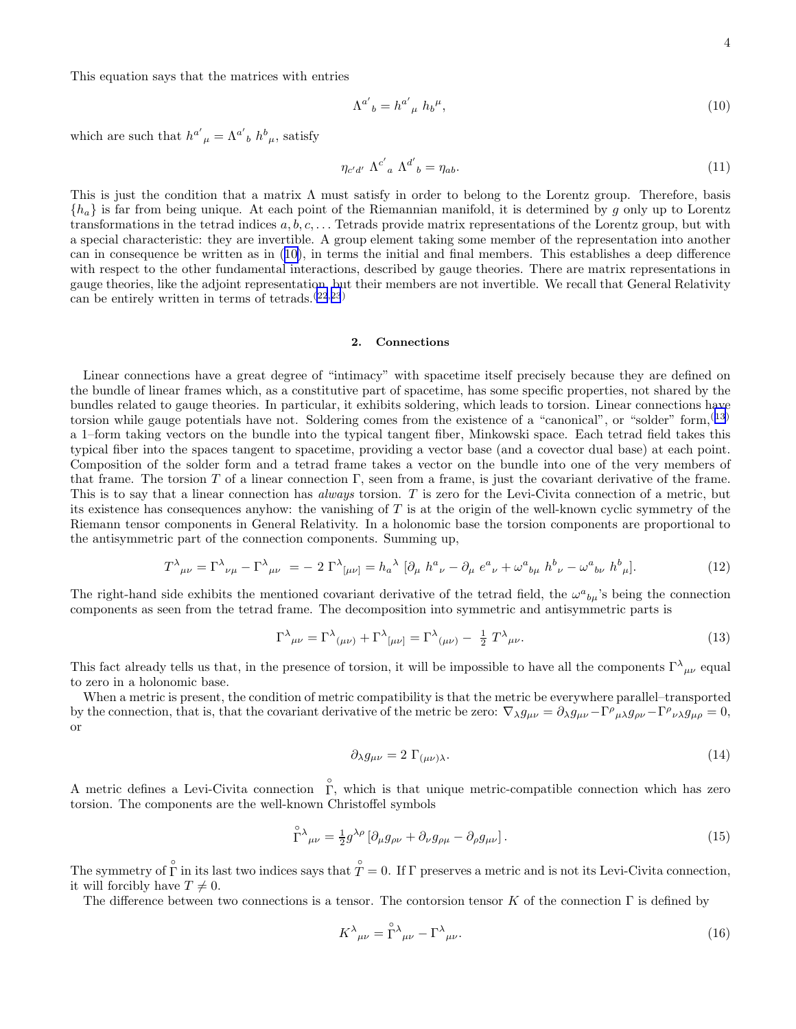<span id="page-3-0"></span>This equation says that the matrices with entries

$$
\Lambda^{a'}{}_{b} = h^{a'}{}_{\mu} h_{b}{}^{\mu},\tag{10}
$$

which are such that  $h^{a'}_{\mu} = \Lambda^{a'}_{\ b} h^{b}_{\ \mu}$ , satisfy

$$
\eta_{c'd'} \Lambda^{c'}_{\ a} \Lambda^{d'}_{\ b} = \eta_{ab}.\tag{11}
$$

This is just the condition that a matrix  $\Lambda$  must satisfy in order to belong to the Lorentz group. Therefore, basis  ${h_a}$  is far from being unique. At each point of the Riemannian manifold, it is determined by g only up to Lorentz transformations in the tetrad indices  $a, b, c, \ldots$  Tetrads provide matrix representations of the Lorentz group, but with a special characteristic: they are invertible. A group element taking some member of the representation into another can in consequence be written as in (10), in terms the initial and final members. This establishes a deep difference with respect to the other fundamental interactions, described by gauge theories. There are matrix representations in gauge theories, like the adjoint representation, but their members are not invertible. We recall that General Relativity can be entirely written in terms of tetrads. $(22,23)$  $(22,23)$  $(22,23)$  $(22,23)$  $(22,23)$ 

### 2. Connections

Linear connections have a great degree of "intimacy" with spacetime itself precisely because they are defined on the bundle of linear frames which, as a constitutive part of spacetime, has some specific properties, not shared by the bundles related to gauge theories. In particular, it exhibits soldering, which leads to torsion. Linear connections have torsion while gauge potentials have not. Soldering comes from the existence of a "canonical", or "solder" form,([13](#page-17-0)) a 1–form taking vectors on the bundle into the typical tangent fiber, Minkowski space. Each tetrad field takes this typical fiber into the spaces tangent to spacetime, providing a vector base (and a covector dual base) at each point. Composition of the solder form and a tetrad frame takes a vector on the bundle into one of the very members of that frame. The torsion T of a linear connection  $\Gamma$ , seen from a frame, is just the covariant derivative of the frame. This is to say that a linear connection has *always* torsion. T is zero for the Levi-Civita connection of a metric, but its existence has consequences anyhow: the vanishing of  $T$  is at the origin of the well-known cyclic symmetry of the Riemann tensor components in General Relativity. In a holonomic base the torsion components are proportional to the antisymmetric part of the connection components. Summing up,

$$
T^{\lambda}{}_{\mu\nu} = \Gamma^{\lambda}{}_{\nu\mu} - \Gamma^{\lambda}{}_{\mu\nu} = - 2 \Gamma^{\lambda}{}_{[\mu\nu]} = h_a^{\lambda} [\partial_{\mu} h^{a}{}_{\nu} - \partial_{\mu} e^{a}{}_{\nu} + \omega^{a}{}_{b\mu} h^{b}{}_{\nu} - \omega^{a}{}_{b\nu} h^{b}{}_{\mu}]. \tag{12}
$$

The right-hand side exhibits the mentioned covariant derivative of the tetrad field, the  $\omega^a{}_{b\mu}$ 's being the connection components as seen from the tetrad frame. The decomposition into symmetric and antisymmetric parts is

$$
\Gamma^{\lambda}{}_{\mu\nu} = \Gamma^{\lambda}{}_{(\mu\nu)} + \Gamma^{\lambda}{}_{[\mu\nu]} = \Gamma^{\lambda}{}_{(\mu\nu)} - \frac{1}{2} T^{\lambda}{}_{\mu\nu}.
$$
\n(13)

This fact already tells us that, in the presence of torsion, it will be impossible to have all the components  $\Gamma_{\mu\nu}^{\lambda}$  equal to zero in a holonomic base.

When a metric is present, the condition of metric compatibility is that the metric be everywhere parallel–transported by the connection, that is, that the covariant derivative of the metric be zero:  $\nabla_{\lambda} g_{\mu\nu} = \partial_{\lambda} g_{\mu\nu} - \Gamma^{\rho}{}_{\mu\lambda} g_{\rho\nu} - \Gamma^{\rho}{}_{\nu\lambda} g_{\mu\rho} = 0$ , or

$$
\partial_{\lambda}g_{\mu\nu} = 2\,\Gamma_{(\mu\nu)\lambda}.\tag{14}
$$

A metric defines a Levi-Civita connection  $\int_{0}^{\infty}$ , which is that unique metric-compatible connection which has zero torsion. The components are the well-known Christoffel symbols

$$
\stackrel{\circ}{\Gamma}{}^{\lambda}{}_{\mu\nu} = \frac{1}{2} g^{\lambda\rho} \left[ \partial_{\mu} g_{\rho\nu} + \partial_{\nu} g_{\rho\mu} - \partial_{\rho} g_{\mu\nu} \right]. \tag{15}
$$

The symmetry of  $\hat{\Gamma}$  in its last two indices says that  $\hat{T} = 0$ . If  $\Gamma$  preserves a metric and is not its Levi-Civita connection, it will forcibly have  $T \neq 0$ .

The difference between two connections is a tensor. The contorsion tensor K of the connection  $\Gamma$  is defined by

$$
K^{\lambda}{}_{\mu\nu} = \stackrel{\circ}{\Gamma}{}^{\lambda}{}_{\mu\nu} - \Gamma^{\lambda}{}_{\mu\nu}.
$$
\n(16)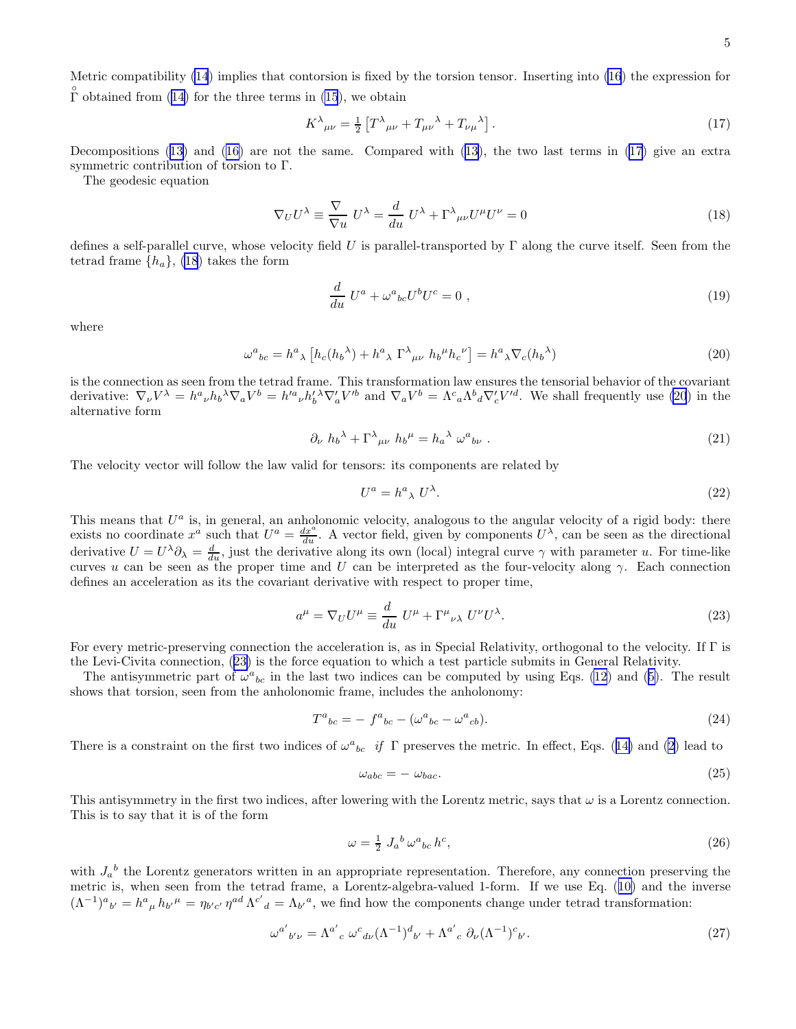<span id="page-4-0"></span>Metric compatibility [\(14](#page-3-0)) implies that contorsion is fixed by the torsion tensor. Inserting into [\(16](#page-3-0)) the expression for  $\sum_{i=1}^{\infty}$ obtained from ([14\)](#page-3-0) for the three terms in [\(15](#page-3-0)), we obtain

$$
K^{\lambda}{}_{\mu\nu} = \frac{1}{2} \left[ T^{\lambda}{}_{\mu\nu} + T_{\mu\nu}{}^{\lambda} + T_{\nu\mu}{}^{\lambda} \right]. \tag{17}
$$

Decompositions([13\)](#page-3-0) and([16\)](#page-3-0) are not the same. Compared with([13](#page-3-0)), the two last terms in (17) give an extra symmetric contribution of torsion to Γ.

The geodesic equation

$$
\nabla_U U^{\lambda} \equiv \frac{\nabla}{\nabla u} U^{\lambda} = \frac{d}{du} U^{\lambda} + \Gamma^{\lambda}{}_{\mu\nu} U^{\mu} U^{\nu} = 0
$$
\n(18)

defines a self-parallel curve, whose velocity field U is parallel-transported by Γ along the curve itself. Seen from the tetrad frame  $\{h_a\}$ , (18) takes the form

$$
\frac{d}{du} U^a + \omega^a{}_{bc} U^b U^c = 0 \tag{19}
$$

where

$$
\omega^{a}{}_{bc} = h^{a}{}_{\lambda} \left[ h_{c} (h_{b}{}^{\lambda}) + h^{a}{}_{\lambda} \Gamma^{\lambda}{}_{\mu\nu} h_{b}{}^{\mu} h_{c}{}^{\nu} \right] = h^{a}{}_{\lambda} \nabla_{c} (h_{b}{}^{\lambda}) \tag{20}
$$

is the connection as seen from the tetrad frame. This transformation law ensures the tensorial behavior of the covariant derivative:  $\nabla_{\nu}V^{\lambda} = h^a{}_{\nu}h_b^{\lambda}\nabla_aV^b = h'^a{}_{\nu}h'_b{}^{\lambda}\nabla_a'V'^b$  and  $\nabla_aV^b = \Lambda^c{}_a\Lambda^b{}_d\nabla_c'V'^d$ . We shall frequently use (20) in the alternative form

$$
\partial_{\nu} h_b^{\lambda} + \Gamma^{\lambda}{}_{\mu\nu} h_b^{\mu} = h_a^{\lambda} \omega^a{}_{b\nu} . \tag{21}
$$

The velocity vector will follow the law valid for tensors: its components are related by

$$
U^a = h^a{}_{\lambda} U^{\lambda}.
$$
\n<sup>(22)</sup>

This means that  $U^a$  is, in general, an anholonomic velocity, analogous to the angular velocity of a rigid body: there exists no coordinate  $x^a$  such that  $U^a = \frac{dx^a}{du}$ . A vector field, given by components  $U^{\lambda}$ , can be seen as the directional derivative  $U = U^{\lambda} \partial_{\lambda} = \frac{d}{du}$ , just the derivative along its own (local) integral curve  $\gamma$  with parameter u. For time-like curves u can be seen as the proper time and U can be interpreted as the four-velocity along  $\gamma$ . Each connection defines an acceleration as its the covariant derivative with respect to proper time,

$$
a^{\mu} = \nabla_U U^{\mu} \equiv \frac{d}{du} U^{\mu} + \Gamma^{\mu}{}_{\nu\lambda} U^{\nu} U^{\lambda}.
$$
 (23)

For every metric-preserving connection the acceleration is, as in Special Relativity, orthogonal to the velocity. If Γ is the Levi-Civita connection, (23) is the force equation to which a test particle submits in General Relativity.

Theantisymmetric part of  $\omega^a{}_{bc}$  in the last two indices can be computed by using Eqs. [\(12](#page-3-0)) and ([5\)](#page-2-0). The result shows that torsion, seen from the anholonomic frame, includes the anholonomy:

$$
T^{a}{}_{bc} = - f^{a}{}_{bc} - (\omega^{a}{}_{bc} - \omega^{a}{}_{cb}).
$$
\n(24)

Thereis a constraint on the first two indices of  $\omega^a{}_{bc}$  if  $\Gamma$  preserves the metric. In effect, Eqs. ([14\)](#page-3-0) and [\(2](#page-2-0)) lead to

$$
\omega_{abc} = -\omega_{bac}.\tag{25}
$$

This antisymmetry in the first two indices, after lowering with the Lorentz metric, says that  $\omega$  is a Lorentz connection. This is to say that it is of the form

$$
\omega = \frac{1}{2} J_a{}^b \omega^a{}_{bc} h^c,\tag{26}
$$

with  $J_a{}^b$  the Lorentz generators written in an appropriate representation. Therefore, any connection preserving the metric is, when seen from the tetrad frame, a Lorentz-algebra-valued 1-form. If we use Eq.([10\)](#page-3-0) and the inverse  $(\Lambda^{-1})^a{}_{b'} = h^a{}_\mu h_{b'}{}^\mu = \eta_{b'c'} \eta^{ad} \Lambda^{c'}{}_d = \Lambda_{b'}{}^a$ , we find how the components change under tetrad transformation:

$$
\omega^{a'}{}_{b'\nu} = \Lambda^{a'}{}_{c} \omega^{c}{}_{d\nu} (\Lambda^{-1})^{d}{}_{b'} + \Lambda^{a'}{}_{c} \partial_{\nu} (\Lambda^{-1})^{c}{}_{b'}.
$$
\n(27)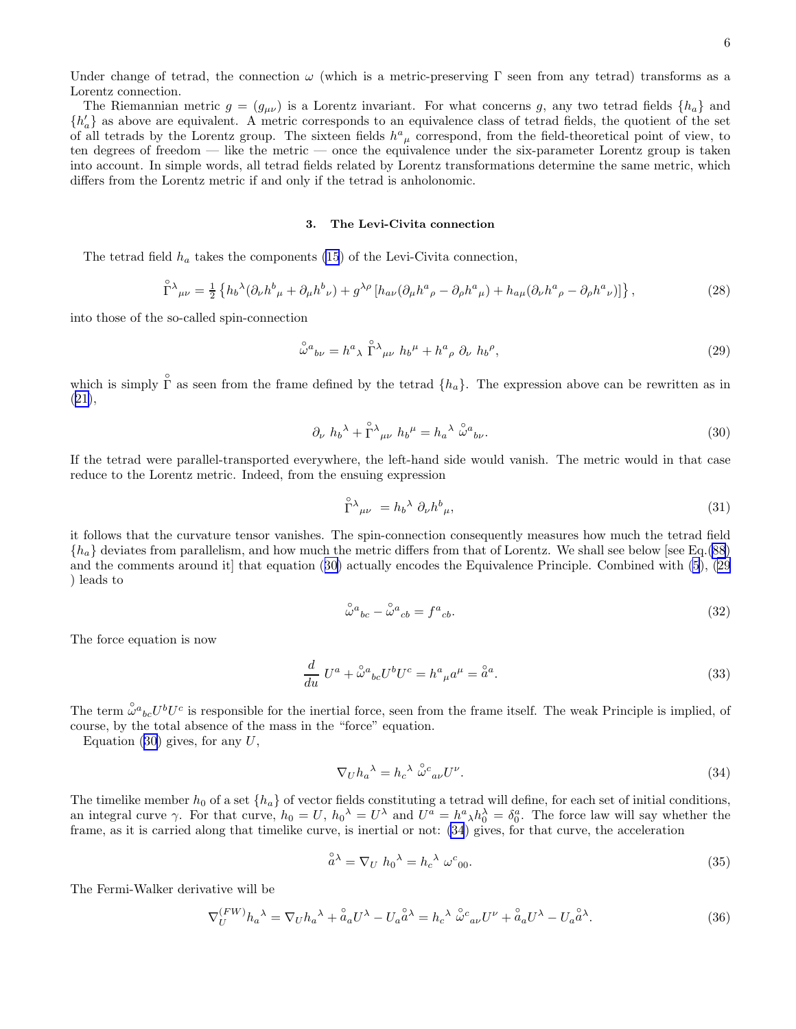<span id="page-5-0"></span>Under change of tetrad, the connection  $\omega$  (which is a metric-preserving Γ seen from any tetrad) transforms as a Lorentz connection.

The Riemannian metric  $g = (g_{\mu\nu})$  is a Lorentz invariant. For what concerns g, any two tetrad fields  $\{h_a\}$  and  ${h'_a}$  as above are equivalent. A metric corresponds to an equivalence class of tetrad fields, the quotient of the set of all tetrads by the Lorentz group. The sixteen fields  $h^a{}_\mu$  correspond, from the field-theoretical point of view, to ten degrees of freedom — like the metric — once the equivalence under the six-parameter Lorentz group is taken into account. In simple words, all tetrad fields related by Lorentz transformations determine the same metric, which differs from the Lorentz metric if and only if the tetrad is anholonomic.

# 3. The Levi-Civita connection

The tetrad field  $h_a$  takes the components [\(15](#page-3-0)) of the Levi-Civita connection,

$$
\stackrel{\circ}{\Gamma}{}^{\lambda}{}_{\mu\nu} = \frac{1}{2} \left\{ h_b{}^{\lambda} (\partial_{\nu} h^b{}_{\mu} + \partial_{\mu} h^b{}_{\nu}) + g^{\lambda \rho} \left[ h_{a\nu} (\partial_{\mu} h^a{}_{\rho} - \partial_{\rho} h^a{}_{\mu}) + h_{a\mu} (\partial_{\nu} h^a{}_{\rho} - \partial_{\rho} h^a{}_{\nu}) \right] \right\},\tag{28}
$$

into those of the so-called spin-connection

$$
\mathring{\omega}^a{}_{b\nu} = h^a{}_{\lambda} \stackrel{\circ}{\Gamma}{}^{\lambda}{}_{\mu\nu} h_b{}^{\mu} + h^a{}_{\rho} \partial_{\nu} h_b{}^{\rho},\tag{29}
$$

which is simply  $\int_{0}^{\infty}$  as seen from the frame defined by the tetrad  $\{h_a\}$ . The expression above can be rewritten as in ([21\)](#page-4-0),

$$
\partial_{\nu} h_b^{\lambda} + \mathring{\Gamma}^{\lambda}{}_{\mu\nu} h_b^{\mu} = h_a^{\lambda} \stackrel{\circ}{\omega}^a{}_{b\nu}.
$$
\n(30)

If the tetrad were parallel-transported everywhere, the left-hand side would vanish. The metric would in that case reduce to the Lorentz metric. Indeed, from the ensuing expression

$$
\stackrel{\circ}{\Gamma}{}^{\lambda}{}_{\mu\nu} = h_b{}^{\lambda} \partial_{\nu} h^b{}_{\mu},\tag{31}
$$

it follows that the curvature tensor vanishes. The spin-connection consequently measures how much the tetrad field  ${h_a}$  deviates from parallelism, and how much the metric differs from that of Lorentz. We shall see below [see Eq.[\(88](#page-11-0))] and the comments around it] that equation (30) actually encodes the Equivalence Principle. Combined with [\(5](#page-2-0)), (29 ) leads to

$$
\stackrel{\circ}{\omega}{}^a{}_{bc} - \stackrel{\circ}{\omega}{}^a{}_{cb} = f^a{}_{cb}.\tag{32}
$$

The force equation is now

$$
\frac{d}{du}U^a + \stackrel{\circ}{\omega}^a{}_{bc}U^bU^c = h^a{}_{\mu}a^{\mu} = \stackrel{\circ}{a}^a.
$$
\n(33)

The term  $\mathring{\omega}^a{}_{bc}U^bU^c$  is responsible for the inertial force, seen from the frame itself. The weak Principle is implied, of course, by the total absence of the mass in the "force" equation.

Equation (30) gives, for any  $U$ ,

$$
\nabla_U h_a{}^\lambda = h_c{}^\lambda \stackrel{\circ}{\omega}^c{}_{a\nu} U^\nu. \tag{34}
$$

The timelike member  $h_0$  of a set  $\{h_a\}$  of vector fields constituting a tetrad will define, for each set of initial conditions, an integral curve  $\gamma$ . For that curve,  $h_0 = U$ ,  $h_0^{\lambda} = U^{\lambda}$  and  $U^a = h^a{}_{\lambda} h_0^{\lambda} = \delta_0^a$ . The force law will say whether the frame, as it is carried along that timelike curve, is inertial or not: (34) gives, for that curve, the acceleration

$$
\overset{\circ}{a}{}^{\lambda} = \nabla_U h_0{}^{\lambda} = h_c{}^{\lambda} \omega^c{}_{00}.
$$
\n(35)

The Fermi-Walker derivative will be

$$
\nabla_U^{(FW)} h_a{}^\lambda = \nabla_U h_a{}^\lambda + \stackrel{\circ}{a}_a U^\lambda - U_a{}^\alpha{}^\lambda = h_c{}^\lambda \stackrel{\circ}{\omega}^c{}_{a\nu} U^\nu + \stackrel{\circ}{a}_a U^\lambda - U_a{}^\alpha{}^\lambda. \tag{36}
$$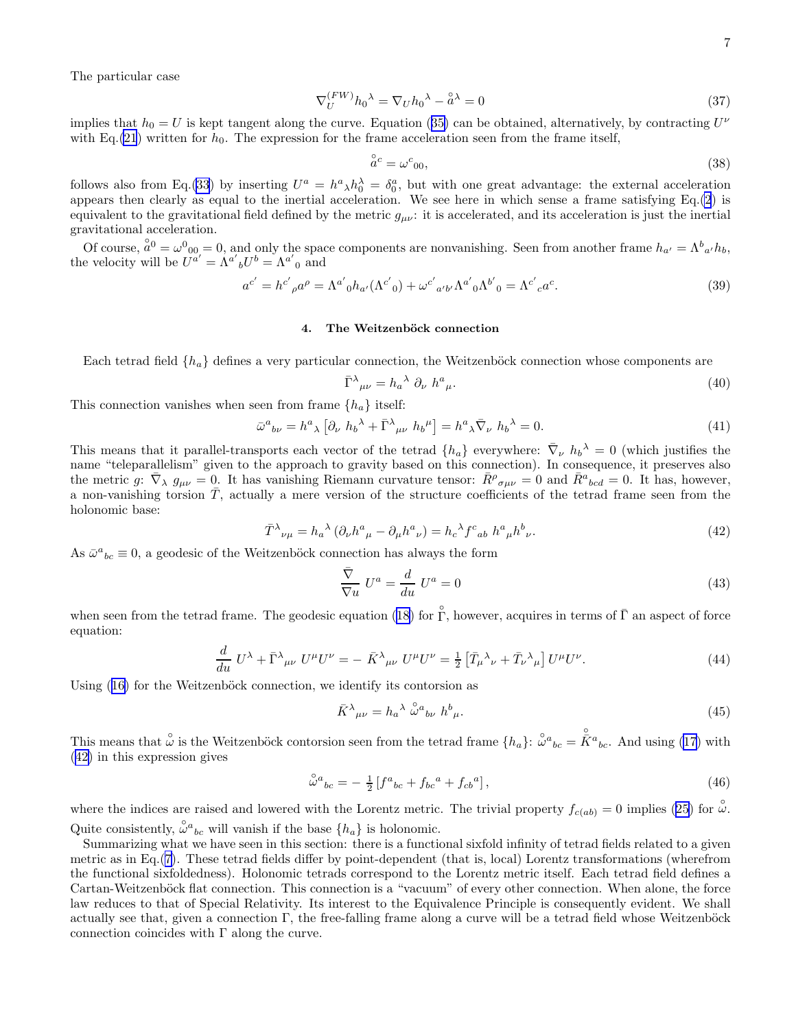The particular case

$$
\nabla_U^{(FW)} h_0{}^\lambda = \nabla_U h_0{}^\lambda - \mathring{a}^\lambda = 0 \tag{37}
$$

impliesthat  $h_0 = U$  is kept tangent along the curve. Equation ([35\)](#page-5-0) can be obtained, alternatively, by contracting  $U^{\nu}$ with Eq.[\(21](#page-4-0)) written for  $h_0$ . The expression for the frame acceleration seen from the frame itself,

$$
\overset{\circ}{a}^c = \omega^c{}_{00},\tag{38}
$$

follows also from Eq.[\(33](#page-5-0)) by inserting  $U^a = h^a{}_{\lambda} h_0^{\lambda} = \delta_0^a$ , but with one great advantage: the external acceleration appears then clearly as equal to the inertial acceleration. We see here in which sense a frame satisfying Eq.[\(2](#page-2-0)) is equivalent to the gravitational field defined by the metric  $g_{\mu\nu}$ : it is accelerated, and its acceleration is just the inertial gravitational acceleration.

Of course,  $\hat{a}^0 = \omega^0_{00} = 0$ , and only the space components are nonvanishing. Seen from another frame  $h_{a'} = \Lambda^b{}_{a'}h_b$ , the velocity will be  $U^{a'} = \Lambda^{a'}_{b} U^{b} = \Lambda^{a'}_{0}$  and

$$
a^{c'} = h^{c'}_{\ \rho} a^{\rho} = \Lambda^{a'}_{\ \ 0} h_{a'} (\Lambda^{c'}_{\ \ 0}) + \omega^{c'}_{\ \ a'b'} \Lambda^{a'}_{\ \ 0} \Lambda^{b'}_{\ \ 0} = \Lambda^{c'}_{\ \ c} a^c. \tag{39}
$$

# 4. The Weitzenböck connection

Each tetrad field  $\{h_a\}$  defines a very particular connection, the Weitzenböck connection whose components are

$$
\bar{\Gamma}^{\lambda}{}_{\mu\nu} = h_{a}{}^{\lambda} \partial_{\nu} h^{a}{}_{\mu}.
$$
\n(40)

This connection vanishes when seen from frame  ${h_a}$  itself:

$$
\bar{\omega}^{a}{}_{b\nu} = h^{a}{}_{\lambda} \left[ \partial_{\nu} h_{b}{}^{\lambda} + \bar{\Gamma}^{\lambda}{}_{\mu\nu} h_{b}{}^{\mu} \right] = h^{a}{}_{\lambda} \bar{\nabla}_{\nu} h_{b}{}^{\lambda} = 0. \tag{41}
$$

This means that it parallel-transports each vector of the tetrad  $\{h_a\}$  everywhere:  $\bar{\nabla}_{\nu} h_b{}^{\lambda} = 0$  (which justifies the name "teleparallelism" given to the approach to gravity based on this connection). In consequence, it preserves also the metric g:  $\bar{\nabla}_{\lambda} g_{\mu\nu} = 0$ . It has vanishing Riemann curvature tensor:  $\bar{R}^{\rho}{}_{\sigma\mu\nu} = 0$  and  $\bar{R}^{a}{}_{bcd} = 0$ . It has, however, a non-vanishing torsion  $\overline{T}$ , actually a mere version of the structure coefficients of the tetrad frame seen from the holonomic base:

$$
\bar{T}^{\lambda}{}_{\nu\mu} = h_a{}^{\lambda} \left(\partial_{\nu} h^a{}_{\mu} - \partial_{\mu} h^a{}_{\nu}\right) = h_c{}^{\lambda} f^c{}_{ab} h^a{}_{\mu} h^b{}_{\nu}.
$$
\n(42)

As  $\bar{\omega}^a{}_{bc} \equiv 0$ , a geodesic of the Weitzenböck connection has always the form

$$
\frac{\bar{\nabla}}{\nabla u} U^a = \frac{d}{du} U^a = 0 \tag{43}
$$

when seen from the tetrad frame. The geodesic equation [\(18](#page-4-0)) for  $\hat{\Gamma}$ , however, acquires in terms of  $\bar{\Gamma}$  an aspect of force equation:

$$
\frac{d}{du}U^{\lambda} + \bar{\Gamma}^{\lambda}{}_{\mu\nu}U^{\mu}U^{\nu} = -\bar{K}^{\lambda}{}_{\mu\nu}U^{\mu}U^{\nu} = \frac{1}{2}\left[\bar{T}_{\mu}{}^{\lambda}{}_{\nu} + \bar{T}_{\nu}{}^{\lambda}{}_{\mu}\right]U^{\mu}U^{\nu}.
$$
\n(44)

Using $(16)$  $(16)$  for the Weitzenböck connection, we identify its contorsion as

$$
\bar{K}^{\lambda}{}_{\mu\nu} = h_a{}^{\lambda} \stackrel{\circ}{\omega}^a{}_{b\nu} h^b{}_{\mu}.\tag{45}
$$

This means that  $\mathring{\omega}$  is the Weitzenböck contorsion seen from the tetrad frame  $\{h_a\}$ :  $\mathring{\omega}^a{}_{bc}$  =  $\sum_{\alpha}^{\infty} a_{bc}$  $\sum_{\alpha}^{\infty} a_{bc}$  $\sum_{\alpha}^{\infty} a_{bc}$ . And using ([17](#page-4-0)) with (42) in this expression gives

$$
\mathring{\omega}^a{}_{bc} = -\frac{1}{2} \left[ f^a{}_{bc} + f_{bc}{}^a + f_{cb}{}^a \right],\tag{46}
$$

where the indices are raised and lowered with the Lorentz metric. The trivial property  $f_{c(ab)} = 0$  implies [\(25](#page-4-0)) for  $\mathring{\omega}$ . Quite consistently,  $\mathring{\omega}^a{}_{bc}$  will vanish if the base  $\{h_a\}$  is holonomic.

Summarizing what we have seen in this section: there is a functional sixfold infinity of tetrad fields related to a given metric as in Eq.([7\)](#page-2-0). These tetrad fields differ by point-dependent (that is, local) Lorentz transformations (wherefrom the functional sixfoldedness). Holonomic tetrads correspond to the Lorentz metric itself. Each tetrad field defines a Cartan-Weitzenböck flat connection. This connection is a "vacuum" of every other connection. When alone, the force law reduces to that of Special Relativity. Its interest to the Equivalence Principle is consequently evident. We shall actually see that, given a connection  $\Gamma$ , the free-falling frame along a curve will be a tetrad field whose Weitzenböck connection coincides with  $\Gamma$  along the curve.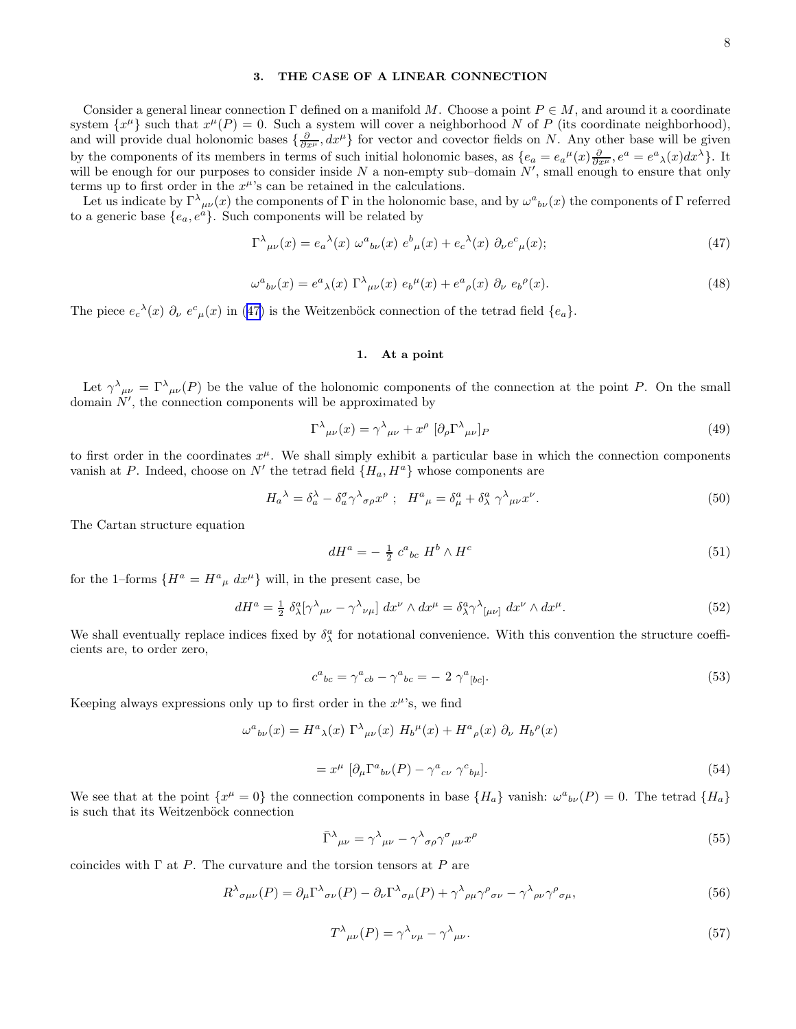# 3. THE CASE OF A LINEAR CONNECTION

<span id="page-7-0"></span>Consider a general linear connection Γ defined on a manifold M. Choose a point  $P \in M$ , and around it a coordinate system  $\{x^{\mu}\}\$  such that  $x^{\mu}(P) = 0$ . Such a system will cover a neighborhood N of P (its coordinate neighborhood), and will provide dual holonomic bases  $\{\frac{\partial}{\partial x^{\mu}}, dx^{\mu}\}\$ for vector and covector fields on N. Any other base will be given by the components of its members in terms of such initial holonomic bases, as  $\{e_a = e_a^{\mu}(x) \frac{\partial}{\partial x^{\mu}}, e^a = e^a_{\lambda}(x) dx^{\lambda}\}\.$  It will be enough for our purposes to consider inside N a non-empty sub-domain  $N'$ , small enough to ensure that only terms up to first order in the  $x^{\mu}$ 's can be retained in the calculations.

Let us indicate by  $\Gamma^{\lambda}{}_{\mu\nu}(x)$  the components of  $\Gamma$  in the holonomic base, and by  $\omega^a{}_{b\nu}(x)$  the components of  $\Gamma$  referred to a generic base  $\{e_a, e^a\}$ . Such components will be related by

$$
\Gamma^{\lambda}{}_{\mu\nu}(x) = e_a{}^{\lambda}(x) \ \omega^a{}_{b\nu}(x) \ e^b{}_{\mu}(x) + e_c{}^{\lambda}(x) \ \partial_{\nu}e^c{}_{\mu}(x); \tag{47}
$$

$$
\omega^{a}{}_{b\nu}(x) = e^{a}{}_{\lambda}(x) \Gamma^{\lambda}{}_{\mu\nu}(x) e_{b}{}^{\mu}(x) + e^{a}{}_{\rho}(x) \partial_{\nu} e_{b}{}^{\rho}(x).
$$
\n(48)

The piece  $e_c^{\lambda}(x)$   $\partial_{\nu} e_c^{\mu}(x)$  in (47) is the Weitzenböck connection of the tetrad field  $\{e_a\}$ .

### 1. At a point

Let  $\gamma^{\lambda}{}_{\mu\nu} = \Gamma^{\lambda}{}_{\mu\nu}(P)$  be the value of the holonomic components of the connection at the point P. On the small domain  $N'$ , the connection components will be approximated by

$$
\Gamma^{\lambda}{}_{\mu\nu}(x) = \gamma^{\lambda}{}_{\mu\nu} + x^{\rho} \left[ \partial_{\rho} \Gamma^{\lambda}{}_{\mu\nu} \right]_{P} \tag{49}
$$

to first order in the coordinates  $x^{\mu}$ . We shall simply exhibit a particular base in which the connection components vanish at P. Indeed, choose on N' the tetrad field  $\{H_a, H^a\}$  whose components are

$$
H_a{}^{\lambda} = \delta_a^{\lambda} - \delta_a^{\sigma} \gamma^{\lambda}{}_{\sigma\rho} x^{\rho} \; ; \; H^a{}_{\mu} = \delta_{\mu}^a + \delta_{\lambda}^a \; \gamma^{\lambda}{}_{\mu\nu} x^{\nu} . \tag{50}
$$

The Cartan structure equation

$$
dH^a = -\frac{1}{2} c^a{}_{bc} H^b \wedge H^c \tag{51}
$$

for the 1–forms  $\{H^a = H^a{}_\mu dx^\mu\}$  will, in the present case, be

$$
dH^{a} = \frac{1}{2} \delta^a_{\lambda} [\gamma^{\lambda}{}_{\mu\nu} - \gamma^{\lambda}{}_{\nu\mu}] \, dx^{\nu} \wedge dx^{\mu} = \delta^a_{\lambda} \gamma^{\lambda}{}_{[\mu\nu]} \, dx^{\nu} \wedge dx^{\mu}.
$$
 (52)

We shall eventually replace indices fixed by  $\delta_\lambda^a$  for notational convenience. With this convention the structure coefficients are, to order zero,

$$
c^{a}_{bc} = \gamma^{a}_{cb} - \gamma^{a}_{bc} = -2 \gamma^{a}_{[bc]}.
$$
\n
$$
(53)
$$

Keeping always expressions only up to first order in the  $x^{\mu}$ 's, we find

ω

$$
\omega^{a}{}_{b\nu}(x) = H^{a}{}_{\lambda}(x) \Gamma^{\lambda}{}_{\mu\nu}(x) H_{b}{}^{\mu}(x) + H^{a}{}_{\rho}(x) \partial_{\nu} H_{b}{}^{\rho}(x)
$$

$$
= x^{\mu} \left[ \partial_{\mu} \Gamma^{a}{}_{b\nu}(P) - \gamma^{a}{}_{c\nu} \gamma^{c}{}_{b\mu} \right]. \tag{54}
$$

We see that at the point  $\{x^{\mu} = 0\}$  the connection components in base  $\{H_a\}$  vanish:  $\omega^a{}_{b\nu}(P) = 0$ . The tetrad  $\{H_a\}$ is such that its Weitzenböck connection

$$
\bar{\Gamma}^{\lambda}{}_{\mu\nu} = \gamma^{\lambda}{}_{\mu\nu} - \gamma^{\lambda}{}_{\sigma\rho} \gamma^{\sigma}{}_{\mu\nu} x^{\rho} \tag{55}
$$

coincides with  $\Gamma$  at P. The curvature and the torsion tensors at P are

$$
R^{\lambda}{}_{\sigma\mu\nu}(P) = \partial_{\mu}\Gamma^{\lambda}{}_{\sigma\nu}(P) - \partial_{\nu}\Gamma^{\lambda}{}_{\sigma\mu}(P) + \gamma^{\lambda}{}_{\rho\mu}\gamma^{\rho}{}_{\sigma\nu} - \gamma^{\lambda}{}_{\rho\nu}\gamma^{\rho}{}_{\sigma\mu},\tag{56}
$$

$$
T^{\lambda}{}_{\mu\nu}(P) = \gamma^{\lambda}{}_{\nu\mu} - \gamma^{\lambda}{}_{\mu\nu}.\tag{57}
$$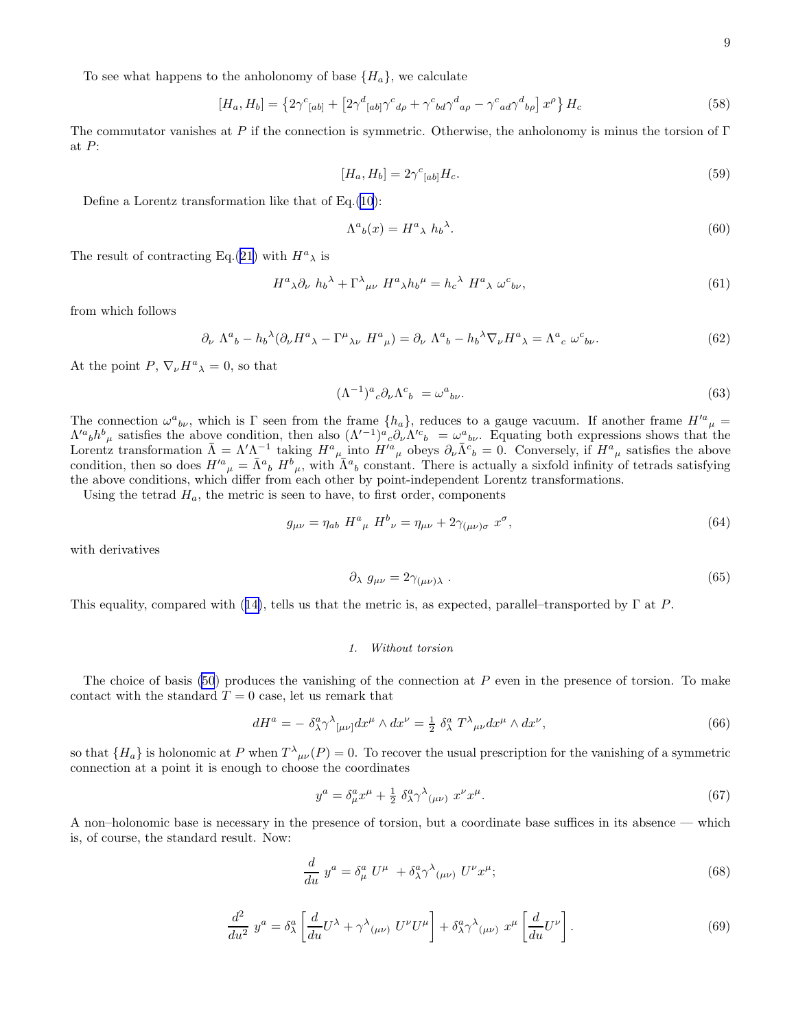<span id="page-8-0"></span>To see what happens to the anholonomy of base  $\{H_a\}$ , we calculate

$$
[H_a, H_b] = \left\{ 2\gamma^c_{\ [ab]} + \left[ 2\gamma^d_{\ [ab]} \gamma^c_{\ d\rho} + \gamma^c_{\ bd} \gamma^d_{\ a\rho} - \gamma^c_{\ ad} \gamma^d_{\ b\rho} \right] x^\rho \right\} H_c \tag{58}
$$

The commutator vanishes at P if the connection is symmetric. Otherwise, the anholonomy is minus the torsion of  $\Gamma$ at P:

$$
[H_a, H_b] = 2\gamma^c{}_{[ab]}H_c.
$$
\n<sup>(59)</sup>

Define a Lorentz transformation like that of Eq.[\(10](#page-3-0)):

$$
\Lambda^a{}_b(x) = H^a{}_\lambda \ h_b{}^\lambda. \tag{60}
$$

The result of contracting Eq.([21\)](#page-4-0) with  $H^a{}_{\lambda}$  is

$$
H^{a}{}_{\lambda}\partial_{\nu} h_{b}{}^{\lambda} + \Gamma^{\lambda}{}_{\mu\nu} H^{a}{}_{\lambda} h_{b}{}^{\mu} = h_{c}{}^{\lambda} H^{a}{}_{\lambda} \omega^{c}{}_{b\nu},\tag{61}
$$

from which follows

$$
\partial_{\nu} \Lambda^{a}{}_{b} - h_{b}{}^{\lambda} (\partial_{\nu} H^{a}{}_{\lambda} - \Gamma^{\mu}{}_{\lambda \nu} H^{a}{}_{\mu}) = \partial_{\nu} \Lambda^{a}{}_{b} - h_{b}{}^{\lambda} \nabla_{\nu} H^{a}{}_{\lambda} = \Lambda^{a}{}_{c} \omega^{c}{}_{b \nu}.
$$
 (62)

At the point  $P, \nabla_{\nu} H^a{}_{\lambda} = 0$ , so that

$$
(\Lambda^{-1})^a{}_c \partial_\nu \Lambda^c{}_b \ = \omega^a{}_{b\nu}.\tag{63}
$$

The connection  $\omega^a{}_{b\nu}$ , which is  $\Gamma$  seen from the frame  $\{h_a\}$ , reduces to a gauge vacuum. If another frame  $H'^a{}_\mu$  =  $\Lambda'^a{}_b h^b{}_\mu$  satisfies the above condition, then also  $(\Lambda'^{-1})^a{}_c \partial_\nu \Lambda'^c{}_b = \omega^a{}_{b\nu}$ . Equating both expressions shows that the Lorentz transformation  $\bar{\Lambda} = \Lambda' \Lambda^{-1}$  taking  $H^a{}_\mu$  into  $H'^a{}_\mu$  obeys  $\partial_\nu \bar{\Lambda}^c{}_b = 0$ . Conversely, if  $H^a{}_\mu$  satisfies the above condition, then so does  $H'^a{}_\mu = \bar{\Lambda}^a{}_b H^b{}_\mu$ , with  $\bar{\Lambda}^a{}_b$  constant. There is actually a sixfold infinity of tetrads satisfying the above conditions, which differ from each other by point-independent Lorentz transformations.

Using the tetrad  $H_a$ , the metric is seen to have, to first order, components

$$
g_{\mu\nu} = \eta_{ab} H^a{}_{\mu} H^b{}_{\nu} = \eta_{\mu\nu} + 2\gamma_{(\mu\nu)\sigma} x^{\sigma}, \tag{64}
$$

with derivatives

$$
\partial_{\lambda} g_{\mu\nu} = 2\gamma_{(\mu\nu)\lambda} \tag{65}
$$

Thisequality, compared with ([14\)](#page-3-0), tells us that the metric is, as expected, parallel–transported by  $\Gamma$  at P.

### 1. Without torsion

The choice of basis [\(50](#page-7-0)) produces the vanishing of the connection at P even in the presence of torsion. To make contact with the standard  $T = 0$  case, let us remark that

$$
dH^{a} = -\delta^a_{\lambda} \gamma^{\lambda}{}_{[\mu\nu]} dx^{\mu} \wedge dx^{\nu} = \frac{1}{2} \delta^a_{\lambda} T^{\lambda}{}_{\mu\nu} dx^{\mu} \wedge dx^{\nu},\tag{66}
$$

so that  ${H_a}$  is holonomic at P when  $T^{\lambda}{}_{\mu\nu}(P) = 0$ . To recover the usual prescription for the vanishing of a symmetric connection at a point it is enough to choose the coordinates

$$
y^{a} = \delta_{\mu}^{a} x^{\mu} + \frac{1}{2} \delta_{\lambda}^{a} \gamma^{\lambda}{}_{(\mu\nu)} x^{\nu} x^{\mu}.
$$
 (67)

A non–holonomic base is necessary in the presence of torsion, but a coordinate base suffices in its absence — which is, of course, the standard result. Now:

$$
\frac{d}{du} y^a = \delta^a_\mu U^\mu + \delta^a_\lambda \gamma^\lambda{}_{(\mu\nu)} U^\nu x^\mu; \tag{68}
$$

$$
\frac{d^2}{du^2} y^a = \delta_\lambda^a \left[ \frac{d}{du} U^\lambda + \gamma^\lambda{}_{(\mu\nu)} U^\nu U^\mu \right] + \delta_\lambda^a \gamma^\lambda{}_{(\mu\nu)} x^\mu \left[ \frac{d}{du} U^\nu \right]. \tag{69}
$$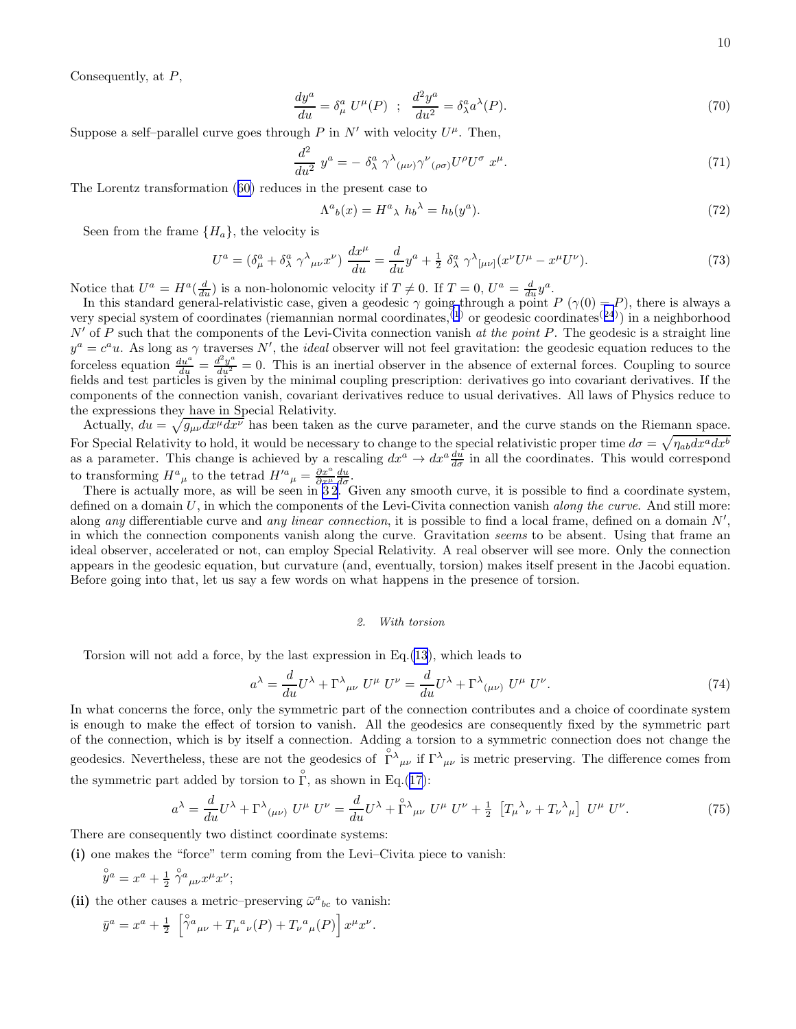Consequently, at P,

$$
\frac{dy^a}{du} = \delta^a_\mu U^\mu(P) \quad ; \quad \frac{d^2y^a}{du^2} = \delta^a_\lambda a^\lambda(P). \tag{70}
$$

Suppose a self-parallel curve goes through P in  $N'$  with velocity  $U^{\mu}$ . Then,

$$
\frac{d^2}{du^2} y^a = - \delta^a_\lambda \gamma^\lambda_{\ (\mu\nu)} \gamma^\nu_{\ (\rho\sigma)} U^\rho U^\sigma \ x^\mu. \tag{71}
$$

The Lorentz transformation([60\)](#page-8-0) reduces in the present case to

$$
\Lambda^{a}{}_{b}(x) = H^{a}{}_{\lambda}{} h_{b}{}^{\lambda} = h_{b}(y^{a}). \tag{72}
$$

Seen from the frame  ${H_a}$ , the velocity is

$$
U^{a} = (\delta^{a}_{\mu} + \delta^a_{\lambda} \gamma^{\lambda}{}_{\mu\nu} x^{\nu}) \frac{dx^{\mu}}{du} = \frac{d}{du} y^{a} + \frac{1}{2} \delta^{a}_{\lambda} \gamma^{\lambda}{}_{[\mu\nu]} (x^{\nu}U^{\mu} - x^{\mu}U^{\nu}). \tag{73}
$$

Notice that  $U^a = H^a(\frac{d}{du})$  is a non-holonomic velocity if  $T \neq 0$ . If  $T = 0$ ,  $U^a = \frac{d}{du}y^a$ .

In this standard general-relativistic case, given a geodesic  $\gamma$  going through a point  $P(\gamma(0) = P)$ , there is always a very special system of coordinates (riemannian normal coordinates, $(1)$  $(1)$  or geodesic coordinates $(24)$  $(24)$  $(24)$ ) in a neighborhood  $N'$  of P such that the components of the Levi-Civita connection vanish at the point P. The geodesic is a straight line  $y^a = c^a u$ . As long as  $\gamma$  traverses N', the *ideal* observer will not feel gravitation: the geodesic equation reduces to the forceless equation  $\frac{du^a}{du} = \frac{d^2y^a}{du^2} = 0$ . This is an inertial observer in the absence of external forces. Coupling to source fields and test particles is given by the minimal coupling prescription: derivatives go into covariant derivatives. If the components of the connection vanish, covariant derivatives reduce to usual derivatives. All laws of Physics reduce to the expressions they have in Special Relativity.

Actually,  $du = \sqrt{g_{\mu\nu}dx^{\mu}dx^{\nu}}$  has been taken as the curve parameter, and the curve stands on the Riemann space. For Special Relativity to hold, it would be necessary to change to the special relativistic proper time  $d\sigma = \sqrt{\eta_{ab}dx^a}dx^b$ as a parameter. This change is achieved by a rescaling  $dx^a \to dx^a \frac{du}{d\sigma}$  in all the coordinates. This would correspond to transforming  $H^a{}_\mu$  to the tetrad  $H'^a{}_\mu = \frac{\partial x^a}{\partial x^\mu} \frac{du}{d\sigma}$ .

There is actually more, as will be seen in [3 2](#page-10-0). Given any smooth curve, it is possible to find a coordinate system, defined on a domain  $U$ , in which the components of the Levi-Civita connection vanish *along the curve*. And still more: along any differentiable curve and any linear connection, it is possible to find a local frame, defined on a domain  $N'$ , in which the connection components vanish along the curve. Gravitation seems to be absent. Using that frame an ideal observer, accelerated or not, can employ Special Relativity. A real observer will see more. Only the connection appears in the geodesic equation, but curvature (and, eventually, torsion) makes itself present in the Jacobi equation. Before going into that, let us say a few words on what happens in the presence of torsion.

### 2. With torsion

Torsion will not add a force, by the last expression in Eq.[\(13](#page-3-0)), which leads to

$$
a^{\lambda} = \frac{d}{du} U^{\lambda} + \Gamma^{\lambda}{}_{\mu\nu} U^{\mu} U^{\nu} = \frac{d}{du} U^{\lambda} + \Gamma^{\lambda}{}_{(\mu\nu)} U^{\mu} U^{\nu}.
$$
 (74)

In what concerns the force, only the symmetric part of the connection contributes and a choice of coordinate system is enough to make the effect of torsion to vanish. All the geodesics are consequently fixed by the symmetric part of the connection, which is by itself a connection. Adding a torsion to a symmetric connection does not change the geodesics. Nevertheless, these are not the geodesics of  $\int_{0}^{\infty}$ e geodesics of  $\Gamma^{\lambda}{}_{\mu\nu}$  if  $\Gamma^{\lambda}{}_{\mu\nu}$  is metric preserving. The difference comes from the symmetric part added by torsion to  $\Gamma$ , as shown in Eq.[\(17](#page-4-0)):

$$
a^{\lambda} = \frac{d}{du} U^{\lambda} + \Gamma^{\lambda}{}_{(\mu\nu)} U^{\mu} U^{\nu} = \frac{d}{du} U^{\lambda} + \stackrel{\circ}{\Gamma}{}^{\lambda}{}_{\mu\nu} U^{\mu} U^{\nu} + \frac{1}{2} \left[ T_{\mu}{}^{\lambda}{}_{\nu} + T_{\nu}{}^{\lambda}{}_{\mu} \right] U^{\mu} U^{\nu}.
$$
 (75)

There are consequently two distinct coordinate systems:

(i) one makes the "force" term coming from the Levi–Civita piece to vanish:

$$
\overset{\circ}{y}{}^a = x^a + \frac{1}{2} \overset{\circ}{\gamma}{}^a{}_{\mu\nu} x^\mu x^\nu;
$$

(ii) the other causes a metric–preserving  $\bar{\omega}^a{}_{bc}$  to vanish:

$$
\bar{y}^a = x^a + \frac{1}{2} \left[ \tilde{\gamma}^a{}_{\mu\nu} + T_{\mu}{}^a{}_{\nu}(P) + T_{\nu}{}^a{}_{\mu}(P) \right] x^{\mu} x^{\nu}.
$$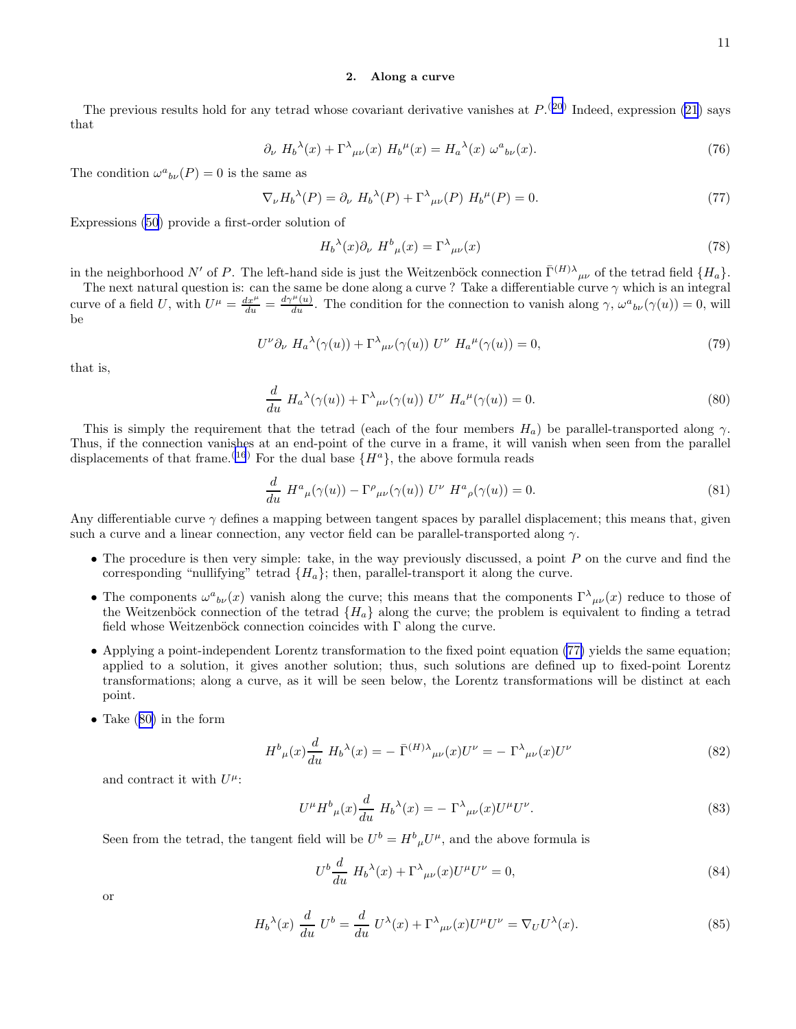### 2. Along a curve

<span id="page-10-0"></span>The previous results hold for any tetrad whose covariant derivative vanishes at  $P^{(20)}$  $P^{(20)}$  $P^{(20)}$  Indeed, expression [\(21](#page-4-0)) says that

$$
\partial_{\nu} H_b^{\lambda}(x) + \Gamma^{\lambda}{}_{\mu\nu}(x) H_b^{\mu}(x) = H_a^{\lambda}(x) \omega^a{}_{b\nu}(x). \tag{76}
$$

The condition  $\omega^a{}_{b\nu}(P) = 0$  is the same as

$$
\nabla_{\nu} H_b^{\lambda}(P) = \partial_{\nu} H_b^{\lambda}(P) + \Gamma^{\lambda}{}_{\mu\nu}(P) H_b^{\mu}(P) = 0.
$$
\n(77)

Expressions [\(50](#page-7-0)) provide a first-order solution of

$$
H_b^{\lambda}(x)\partial_{\nu} H^b_{\mu}(x) = \Gamma^{\lambda}{}_{\mu\nu}(x) \tag{78}
$$

in the neighborhood N' of P. The left-hand side is just the Weitzenböck connection  $\bar{\Gamma}^{(H)\lambda}{}_{\mu\nu}$  of the tetrad field  $\{H_a\}$ .

The next natural question is: can the same be done along a curve ? Take a differentiable curve  $\gamma$  which is an integral curve of a field U, with  $U^{\mu} = \frac{dx^{\mu}}{du} = \frac{d\gamma^{\mu}(u)}{du}$ . The condition for the connection to vanish along  $\gamma$ ,  $\omega^{a}{}_{b\nu}(\gamma(u)) = 0$ , will be

$$
U^{\nu}\partial_{\nu} H_{a}^{\lambda}(\gamma(u)) + \Gamma^{\lambda}{}_{\mu\nu}(\gamma(u)) U^{\nu} H_{a}^{\mu}(\gamma(u)) = 0, \qquad (79)
$$

that is,

$$
\frac{d}{du} H_a^{\lambda}(\gamma(u)) + \Gamma^{\lambda}{}_{\mu\nu}(\gamma(u)) U^{\nu} H_a^{\mu}(\gamma(u)) = 0.
$$
\n(80)

This is simply the requirement that the tetrad (each of the four members  $H_a$ ) be parallel-transported along  $\gamma$ . Thus, if the connection vanishes at an end-point of the curve in a frame, it will vanish when seen from the parallel displacements of that frame.<sup>([16](#page-17-0))</sup> For the dual base  $\{H^a\}$ , the above formula reads

$$
\frac{d}{du} H^a{}_\mu(\gamma(u)) - \Gamma^\rho{}_{\mu\nu}(\gamma(u)) U^\nu H^a{}_\rho(\gamma(u)) = 0.
$$
\n(81)

Any differentiable curve  $\gamma$  defines a mapping between tangent spaces by parallel displacement; this means that, given such a curve and a linear connection, any vector field can be parallel-transported along  $\gamma$ .

- The procedure is then very simple: take, in the way previously discussed, a point  $P$  on the curve and find the corresponding "nullifying" tetrad  $\{H_a\}$ ; then, parallel-transport it along the curve.
- The components  $\omega^a{}_{b\nu}(x)$  vanish along the curve; this means that the components  $\Gamma^{\lambda}{}_{\mu\nu}(x)$  reduce to those of the Weitzenböck connection of the tetrad  ${H_a}$  along the curve; the problem is equivalent to finding a tetrad field whose Weitzenböck connection coincides with  $\Gamma$  along the curve.
- Applying a point-independent Lorentz transformation to the fixed point equation (77) yields the same equation; applied to a solution, it gives another solution; thus, such solutions are defined up to fixed-point Lorentz transformations; along a curve, as it will be seen below, the Lorentz transformations will be distinct at each point.
- Take  $(80)$  in the form

$$
H^b{}_{\mu}(x)\frac{d}{du}H_b{}^{\lambda}(x) = -\bar{\Gamma}^{(H)\lambda}{}_{\mu\nu}(x)U^{\nu} = -\Gamma^{\lambda}{}_{\mu\nu}(x)U^{\nu}
$$
\n(82)

and contract it with  $U^{\mu}$ :

$$
U^{\mu}H^{b}_{\ \mu}(x)\frac{d}{du}H_{b}^{\ \lambda}(x)=-\Gamma^{\lambda}_{\ \mu\nu}(x)U^{\mu}U^{\nu}.
$$
\n(83)

Seen from the tetrad, the tangent field will be  $U^b = H^b{}_\mu U^\mu$ , and the above formula is

$$
U^b \frac{d}{du} H_b^{\lambda}(x) + \Gamma^{\lambda}{}_{\mu\nu}(x) U^{\mu} U^{\nu} = 0,
$$
\n(84)

or

$$
H_b^{\lambda}(x) \frac{d}{du} U^b = \frac{d}{du} U^{\lambda}(x) + \Gamma^{\lambda}{}_{\mu\nu}(x) U^{\mu} U^{\nu} = \nabla_U U^{\lambda}(x). \tag{85}
$$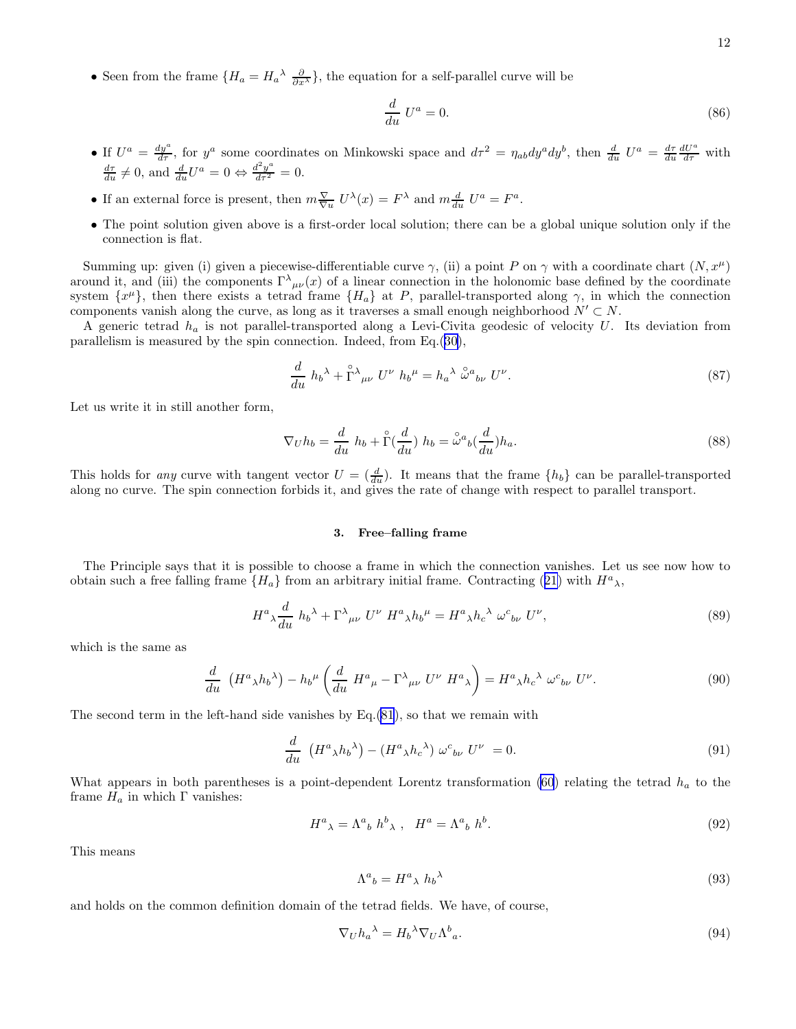<span id="page-11-0"></span>• Seen from the frame  $\{H_a = H_a^{\lambda} \frac{\partial}{\partial x^{\lambda}}\}$ , the equation for a self-parallel curve will be

$$
\frac{d}{du}U^a = 0.\t\t(86)
$$

- If  $U^a = \frac{dy^a}{d\tau}$ , for  $y^a$  some coordinates on Minkowski space and  $d\tau^2 = \eta_{ab} dy^a dy^b$ , then  $\frac{d}{du} U^a = \frac{d\tau}{du} \frac{dU^a}{d\tau}$  with  $\frac{d\tau}{du} \neq 0$ , and  $\frac{d}{du}U^a = 0 \Leftrightarrow \frac{d^2y^a}{d\tau^2} = 0$ .
- If an external force is present, then  $m \frac{\nabla}{\nabla u} U^{\lambda}(x) = F^{\lambda}$  and  $m \frac{d}{du} U^{a} = F^{a}$ .
- The point solution given above is a first-order local solution; there can be a global unique solution only if the connection is flat.

Summing up: given (i) given a piecewise-differentiable curve  $\gamma$ , (ii) a point P on  $\gamma$  with a coordinate chart  $(N, x^{\mu})$ around it, and (iii) the components  $\Gamma^{\lambda}{}_{\mu\nu}(x)$  of a linear connection in the holonomic base defined by the coordinate system  $\{x^{\mu}\},$  then there exists a tetrad frame  $\{H_{a}\}\$ at P, parallel-transported along  $\gamma$ , in which the connection components vanish along the curve, as long as it traverses a small enough neighborhood  $N' \subset N$ .

A generic tetrad  $h_a$  is not parallel-transported along a Levi-Civita geodesic of velocity U. Its deviation from parallelism is measured by the spin connection. Indeed, from Eq.[\(30](#page-5-0)),

$$
\frac{d}{du} h_b{}^{\lambda} + \mathring{\Gamma}^{\lambda}{}_{\mu\nu} U^{\nu} h_b{}^{\mu} = h_a{}^{\lambda} \stackrel{\circ}{\omega}^a{}_{b\nu} U^{\nu}.
$$
\n(87)

Let us write it in still another form,

$$
\nabla_U h_b = \frac{d}{du} h_b + \mathring{\Gamma}(\frac{d}{du}) h_b = \mathring{\omega}^a{}_b(\frac{d}{du}) h_a.
$$
\n(88)

This holds for any curve with tangent vector  $U = \left(\frac{d}{du}\right)$ . It means that the frame  $\{h_b\}$  can be parallel-transported along no curve. The spin connection forbids it, and gives the rate of change with respect to parallel transport.

### 3. Free–falling frame

The Principle says that it is possible to choose a frame in which the connection vanishes. Let us see now how to obtainsuch a free falling frame  $\{H_a\}$  from an arbitrary initial frame. Contracting ([21\)](#page-4-0) with  $H^a{}_{\lambda}$ ,

$$
H^{a}{}_{\lambda}\frac{d}{du}h_{b}{}^{\lambda} + \Gamma^{\lambda}{}_{\mu\nu}U^{\nu} H^{a}{}_{\lambda}h_{b}{}^{\mu} = H^{a}{}_{\lambda}h_{c}{}^{\lambda} \omega^{c}{}_{b\nu}U^{\nu},\tag{89}
$$

which is the same as

$$
\frac{d}{du}\left(H^a{}_{\lambda}h_b{}^{\lambda}\right) - h_b{}^{\mu}\left(\frac{d}{du}\ H^a{}_{\mu} - \Gamma^{\lambda}{}_{\mu\nu}\ U^{\nu}\ H^a{}_{\lambda}\right) = H^a{}_{\lambda}h_c{}^{\lambda}\ \omega^c{}_{b\nu}\ U^{\nu}.\tag{90}
$$

The second term in the left-hand side vanishes by  $Eq.(81)$  $Eq.(81)$  $Eq.(81)$ , so that we remain with

$$
\frac{d}{du}\left(H^a{}_{\lambda}h_b{}^{\lambda}\right) - \left(H^a{}_{\lambda}h_c{}^{\lambda}\right)\,\omega^c{}_{b\nu}\,U^{\nu} = 0.\tag{91}
$$

What appears in both parentheses is a point-dependent Lorentz transformation  $(60)$  relating the tetrad  $h_a$  to the frame  $H_a$  in which  $\Gamma$  vanishes:

$$
H^a{}_{\lambda} = \Lambda^a{}_b \; h^b{}_{\lambda} \; , \; H^a = \Lambda^a{}_b \; h^b. \tag{92}
$$

This means

$$
\Lambda^a{}_b = H^a{}_\lambda \ h_b{}^\lambda \tag{93}
$$

and holds on the common definition domain of the tetrad fields. We have, of course,

$$
\nabla_U h_a{}^\lambda = H_b{}^\lambda \nabla_U \Lambda^b{}_a. \tag{94}
$$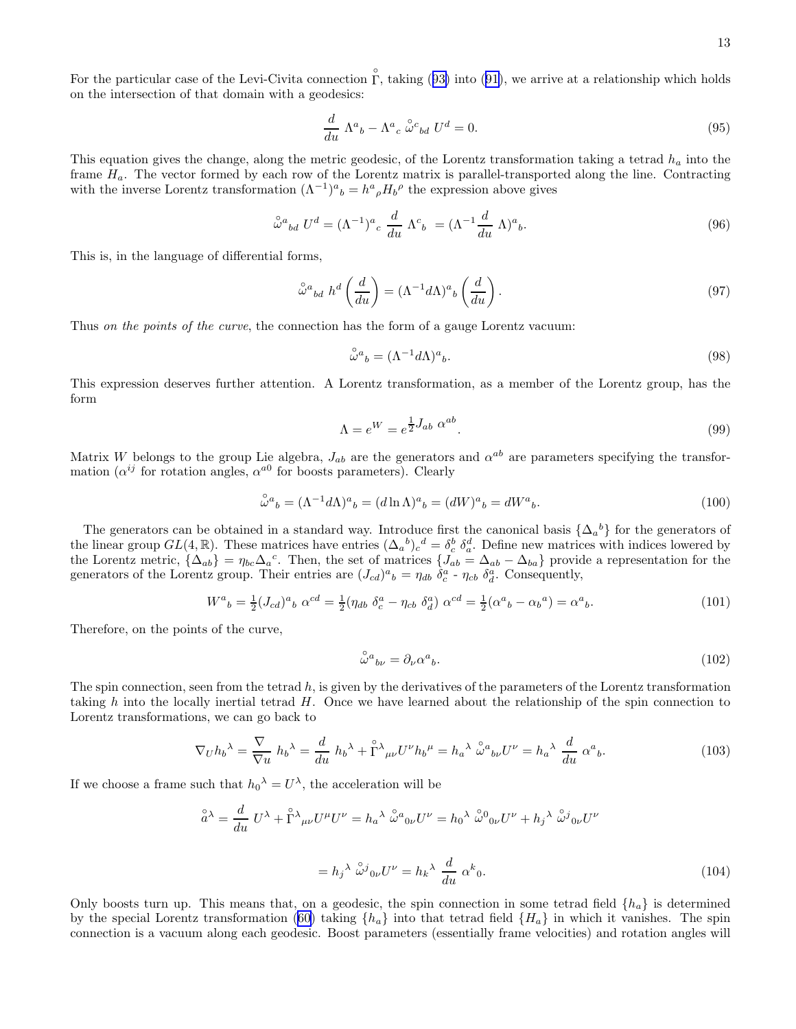<span id="page-12-0"></span>Forthe particular case of the Levi-Civita connection  $\hat{\Gamma}$ , taking ([93\)](#page-11-0) into ([91\)](#page-11-0), we arrive at a relationship which holds on the intersection of that domain with a geodesics:

$$
\frac{d}{du} \Lambda^a{}_b - \Lambda^a{}_c \stackrel{\circ}{\omega}^c{}_{bd} U^d = 0. \tag{95}
$$

This equation gives the change, along the metric geodesic, of the Lorentz transformation taking a tetrad  $h_a$  into the frame  $H_a$ . The vector formed by each row of the Lorentz matrix is parallel-transported along the line. Contracting with the inverse Lorentz transformation  $(\Lambda^{-1})^a{}_b = h^a{}_\rho H_b{}^\rho$  the expression above gives

$$
\stackrel{\circ}{\omega}^a{}_{bd} U^d = (\Lambda^{-1})^a{}_c \frac{d}{du} \Lambda^c{}_b = (\Lambda^{-1} \frac{d}{du} \Lambda)^a{}_b. \tag{96}
$$

This is, in the language of differential forms,

$$
\stackrel{\circ}{\omega}{}^a{}_{bd} h^d \left( \frac{d}{du} \right) = (\Lambda^{-1} d\Lambda)^a{}_b \left( \frac{d}{du} \right). \tag{97}
$$

Thus *on the points of the curve*, the connection has the form of a gauge Lorentz vacuum:

$$
\stackrel{\circ}{\omega}{}^a{}_b = (\Lambda^{-1} d\Lambda)^a{}_b. \tag{98}
$$

This expression deserves further attention. A Lorentz transformation, as a member of the Lorentz group, has the form

$$
\Lambda = e^W = e^{\frac{1}{2}J_{ab} \alpha^{ab}}.
$$
\n(99)

Matrix W belongs to the group Lie algebra,  $J_{ab}$  are the generators and  $\alpha^{ab}$  are parameters specifying the transformation ( $\alpha^{ij}$  for rotation angles,  $\alpha^{a0}$  for boosts parameters). Clearly

$$
\mathring{\omega}^a{}_b = (\Lambda^{-1} d\Lambda)^a{}_b = (d\ln \Lambda)^a{}_b = (dW)^a{}_b = dW^a{}_b. \tag{100}
$$

The generators can be obtained in a standard way. Introduce first the canonical basis  $\{\Delta_a{}^b\}$  for the generators of the linear group  $GL(4,\mathbb{R})$ . These matrices have entries  $(\Delta_a{}^b)_c{}^d = \delta_c^b \delta_a^d$ . Define new matrices with indices lowered by the Lorentz metric,  $\{\Delta_{ab}\} = \eta_{bc}\Delta_a^c$ . Then, the set of matrices  $\{J_{ab} = \Delta_{ab} - \Delta_{ba}\}$  provide a representation for the generators of the Lorentz group. Their entries are  $(J_{cd})^a{}_b = \eta_{db} \delta^a_c$  -  $\eta_{cb} \delta^a_d$ . Consequently,

$$
W^{a}{}_{b} = \frac{1}{2} (J_{cd})^{a}{}_{b} \alpha^{cd} = \frac{1}{2} (\eta_{db} \delta^{a}_{c} - \eta_{cb} \delta^{a}_{d}) \alpha^{cd} = \frac{1}{2} (\alpha^{a}{}_{b} - \alpha_{b}{}^{a}) = \alpha^{a}{}_{b}.
$$
 (101)

Therefore, on the points of the curve,

$$
\mathring{\omega}^a{}_{b\nu} = \partial_\nu \alpha^a{}_b. \tag{102}
$$

The spin connection, seen from the tetrad  $h$ , is given by the derivatives of the parameters of the Lorentz transformation taking h into the locally inertial tetrad  $H$ . Once we have learned about the relationship of the spin connection to Lorentz transformations, we can go back to

$$
\nabla_U h_b{}^\lambda = \frac{\nabla}{\nabla u} h_b{}^\lambda = \frac{d}{du} h_b{}^\lambda + \mathring{\Gamma}^\lambda{}_{\mu\nu} U^\nu h_b{}^\mu = h_a{}^\lambda \stackrel{\circ}{\omega}^a{}_{b\nu} U^\nu = h_a{}^\lambda \frac{d}{du} \alpha^a{}_b. \tag{103}
$$

If we choose a frame such that  $h_0^{\lambda} = U^{\lambda}$ , the acceleration will be

$$
\overset{\circ}{a}\lambda = \frac{d}{du} U^{\lambda} + \overset{\circ}{\Gamma}{}^{\lambda}{}_{\mu\nu}U^{\mu}U^{\nu} = h_{a}{}^{\lambda} \overset{\circ}{\omega}{}^{a}{}_{0\nu}U^{\nu} = h_{0}{}^{\lambda} \overset{\circ}{\omega}{}^{0}{}_{0\nu}U^{\nu} + h_{j}{}^{\lambda} \overset{\circ}{\omega}{}^{j}{}_{0\nu}U^{\nu}
$$

$$
=h_j^{\lambda} \stackrel{\circ}{\omega}^j_{0\nu} U^{\nu} = h_k^{\lambda} \frac{d}{du} \alpha^k_{0}.
$$
 (104)

Only boosts turn up. This means that, on a geodesic, the spin connection in some tetrad field  $\{h_a\}$  is determined by the special Lorentz transformation [\(60](#page-8-0)) taking  $\{h_a\}$  into that tetrad field  $\{H_a\}$  in which it vanishes. The spin connection is a vacuum along each geodesic. Boost parameters (essentially frame velocities) and rotation angles will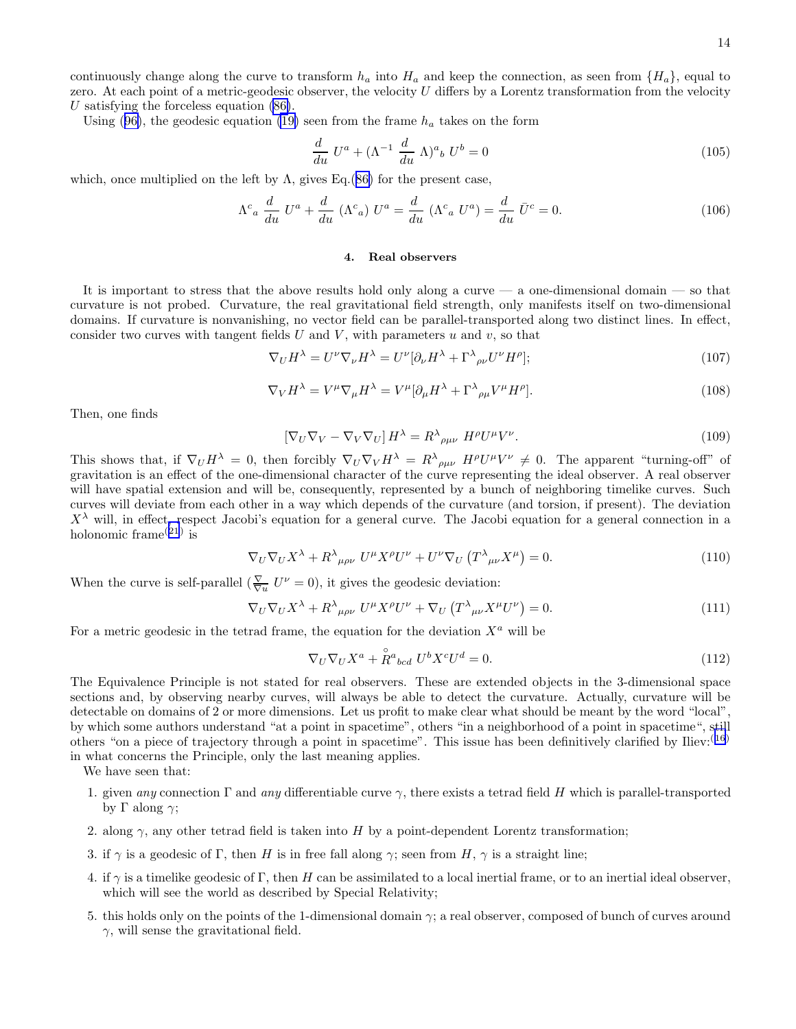continuously change along the curve to transform  $h_a$  into  $H_a$  and keep the connection, as seen from  $\{H_a\}$ , equal to zero. At each point of a metric-geodesic observer, the velocity  $U$  differs by a Lorentz transformation from the velocity U satisfying the forceless equation  $(86)$ .

Using([96\)](#page-12-0), the geodesic equation [\(19\)](#page-4-0) seen from the frame  $h_a$  takes on the form

$$
\frac{d}{du}U^a + (\Lambda^{-1} \frac{d}{du} \Lambda)^a{}_b U^b = 0
$$
\n(105)

which, once multiplied on the left by  $\Lambda$ , gives Eq.([86\)](#page-11-0) for the present case,

$$
\Lambda^c{}_a \, \frac{d}{du} \, U^a + \frac{d}{du} \, (\Lambda^c{}_a) \, U^a = \frac{d}{du} \, (\Lambda^c{}_a \, U^a) = \frac{d}{du} \, \bar{U}^c = 0. \tag{106}
$$

# 4. Real observers

It is important to stress that the above results hold only along a curve — a one-dimensional domain — so that curvature is not probed. Curvature, the real gravitational field strength, only manifests itself on two-dimensional domains. If curvature is nonvanishing, no vector field can be parallel-transported along two distinct lines. In effect, consider two curves with tangent fields  $U$  and  $V$ , with parameters  $u$  and  $v$ , so that

$$
\nabla_U H^{\lambda} = U^{\nu} \nabla_{\nu} H^{\lambda} = U^{\nu} [\partial_{\nu} H^{\lambda} + \Gamma^{\lambda}{}_{\rho\nu} U^{\nu} H^{\rho}];\tag{107}
$$

$$
\nabla_V H^{\lambda} = V^{\mu} \nabla_{\mu} H^{\lambda} = V^{\mu} [\partial_{\mu} H^{\lambda} + \Gamma^{\lambda}{}_{\rho \mu} V^{\mu} H^{\rho}]. \tag{108}
$$

Then, one finds

$$
\left[\nabla_U \nabla_V - \nabla_V \nabla_U\right] H^{\lambda} = R^{\lambda}{}_{\rho \mu \nu} \ H^{\rho} U^{\mu} V^{\nu}.
$$
\n(109)

This shows that, if  $\nabla_U H^{\lambda} = 0$ , then forcibly  $\nabla_U \nabla_V H^{\lambda} = R^{\lambda}{}_{\rho\mu\nu} H^{\rho} U^{\mu} V^{\nu} \neq 0$ . The apparent "turning-off" of gravitation is an effect of the one-dimensional character of the curve representing the ideal observer. A real observer will have spatial extension and will be, consequently, represented by a bunch of neighboring timelike curves. Such curves will deviate from each other in a way which depends of the curvature (and torsion, if present). The deviation  $X^{\lambda}$  will, in effect, respect Jacobi's equation for a general curve. The Jacobi equation for a general connection in a holonomic frame<sup> $(21)$  $(21)$  $(21)$ </sup> is

$$
\nabla_U \nabla_U X^{\lambda} + R^{\lambda}{}_{\mu\rho\nu} U^{\mu} X^{\rho} U^{\nu} + U^{\nu} \nabla_U (T^{\lambda}{}_{\mu\nu} X^{\mu}) = 0. \tag{110}
$$

When the curve is self-parallel  $(\frac{\nabla}{\nabla u} U^{\nu} = 0)$ , it gives the geodesic deviation:

$$
\nabla_U \nabla_U X^{\lambda} + R^{\lambda}{}_{\mu\rho\nu} U^{\mu} X^{\rho} U^{\nu} + \nabla_U (T^{\lambda}{}_{\mu\nu} X^{\mu} U^{\nu}) = 0.
$$
 (111)

For a metric geodesic in the tetrad frame, the equation for the deviation  $X^a$  will be

$$
\nabla_U \nabla_U X^a + \stackrel{\circ}{R}^a{}_{bcd} U^b X^c U^d = 0.
$$
\n(112)

The Equivalence Principle is not stated for real observers. These are extended objects in the 3-dimensional space sections and, by observing nearby curves, will always be able to detect the curvature. Actually, curvature will be detectable on domains of 2 or more dimensions. Let us profit to make clear what should be meant by the word "local", by which some authors understand "at a point in spacetime", others "in a neighborhood of a point in spacetime", still others "on a piece of trajectory through a point in spacetime". This issue has been definitively clarified by  $\text{Iliev}^{(16)}$  $\text{Iliev}^{(16)}$  $\text{Iliev}^{(16)}$ in what concerns the Principle, only the last meaning applies.

We have seen that:

- 1. given any connection  $\Gamma$  and any differentiable curve  $\gamma$ , there exists a tetrad field H which is parallel-transported by Γ along  $γ$ ;
- 2. along  $\gamma$ , any other tetrad field is taken into H by a point-dependent Lorentz transformation;
- 3. if  $\gamma$  is a geodesic of Γ, then H is in free fall along  $\gamma$ ; seen from H,  $\gamma$  is a straight line;
- 4. if  $\gamma$  is a timelike geodesic of Γ, then H can be assimilated to a local inertial frame, or to an inertial ideal observer, which will see the world as described by Special Relativity;
- 5. this holds only on the points of the 1-dimensional domain  $\gamma$ ; a real observer, composed of bunch of curves around  $\gamma$ , will sense the gravitational field.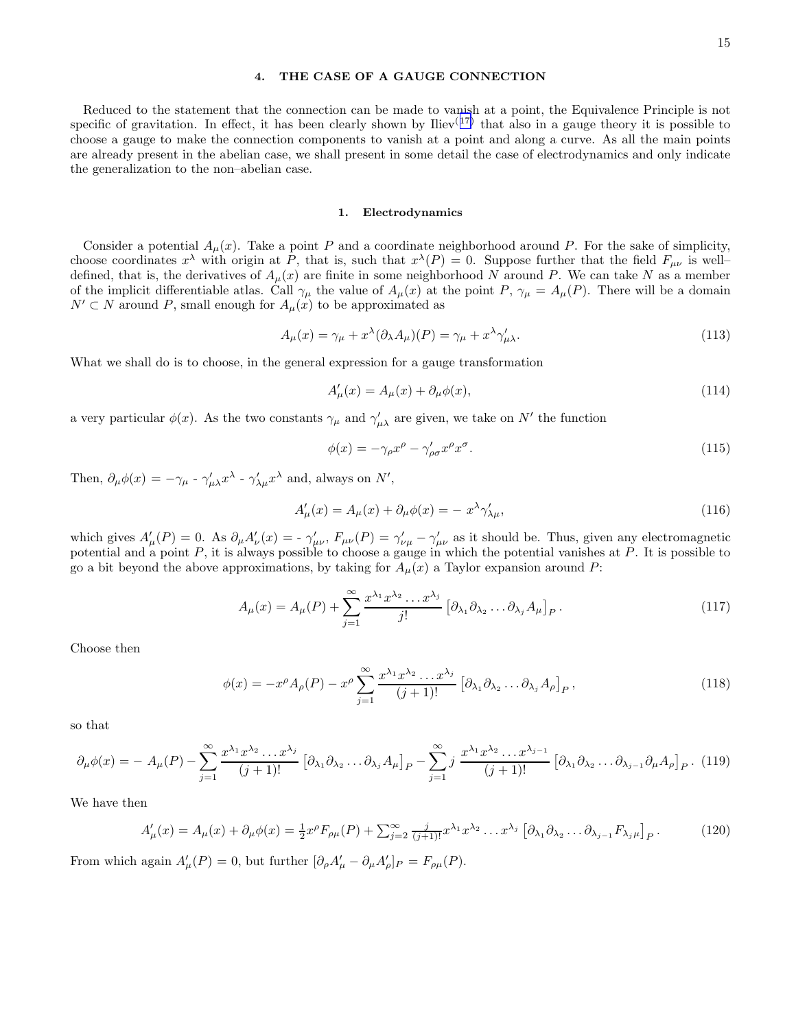# 4. THE CASE OF A GAUGE CONNECTION

<span id="page-14-0"></span>Reduced to the statement that the connection can be made to vanish at a point, the Equivalence Principle is not specific of gravitation. In effect, it has been clearly shown by  $\text{Iliev}^{(17)}$  $\text{Iliev}^{(17)}$  $\text{Iliev}^{(17)}$  that also in a gauge theory it is possible to choose a gauge to make the connection components to vanish at a point and along a curve. As all the main points are already present in the abelian case, we shall present in some detail the case of electrodynamics and only indicate the generalization to the non–abelian case.

# 1. Electrodynamics

Consider a potential  $A_\mu(x)$ . Take a point P and a coordinate neighborhood around P. For the sake of simplicity, choose coordinates  $x^{\lambda}$  with origin at P, that is, such that  $x^{\lambda}(P) = 0$ . Suppose further that the field  $F_{\mu\nu}$  is welldefined, that is, the derivatives of  $A_\mu(x)$  are finite in some neighborhood N around P. We can take N as a member of the implicit differentiable atlas. Call  $\gamma_{\mu}$  the value of  $A_{\mu}(x)$  at the point P,  $\gamma_{\mu} = A_{\mu}(P)$ . There will be a domain  $N' \subset N$  around P, small enough for  $A_\mu(x)$  to be approximated as

$$
A_{\mu}(x) = \gamma_{\mu} + x^{\lambda} (\partial_{\lambda} A_{\mu})(P) = \gamma_{\mu} + x^{\lambda} \gamma_{\mu\lambda}'.
$$
\n(113)

What we shall do is to choose, in the general expression for a gauge transformation

$$
A'_{\mu}(x) = A_{\mu}(x) + \partial_{\mu}\phi(x),\tag{114}
$$

a very particular  $\phi(x)$ . As the two constants  $\gamma_\mu$  and  $\gamma'_{\mu\lambda}$  are given, we take on N' the function

$$
\phi(x) = -\gamma_{\rho}x^{\rho} - \gamma_{\rho\sigma}'x^{\rho}x^{\sigma}.
$$
\n(115)

Then,  $\partial_{\mu}\phi(x) = -\gamma_{\mu} \cdot \gamma'_{\mu\lambda}x^{\lambda} \cdot \gamma'_{\lambda\mu}x^{\lambda}$  and, always on N',

$$
A'_{\mu}(x) = A_{\mu}(x) + \partial_{\mu}\phi(x) = -x^{\lambda}\gamma'_{\lambda\mu},\tag{116}
$$

which gives  $A'_{\mu}(P) = 0$ . As  $\partial_{\mu}A'_{\nu}(x) = -\gamma'_{\mu\nu}$ ,  $F_{\mu\nu}(P) = \gamma'_{\nu\mu} - \gamma'_{\mu\nu}$  as it should be. Thus, given any electromagnetic potential and a point  $P$ , it is always possible to choose a gauge in which the potential vanishes at  $P$ . It is possible to go a bit beyond the above approximations, by taking for  $A_\mu(x)$  a Taylor expansion around P:

$$
A_{\mu}(x) = A_{\mu}(P) + \sum_{j=1}^{\infty} \frac{x^{\lambda_1} x^{\lambda_2} \dots x^{\lambda_j}}{j!} \left[ \partial_{\lambda_1} \partial_{\lambda_2} \dots \partial_{\lambda_j} A_{\mu} \right]_P.
$$
 (117)

Choose then

$$
\phi(x) = -x^{\rho} A_{\rho}(P) - x^{\rho} \sum_{j=1}^{\infty} \frac{x^{\lambda_1} x^{\lambda_2} \dots x^{\lambda_j}}{(j+1)!} \left[ \partial_{\lambda_1} \partial_{\lambda_2} \dots \partial_{\lambda_j} A_{\rho} \right]_P, \tag{118}
$$

so that

$$
\partial_{\mu}\phi(x) = - A_{\mu}(P) - \sum_{j=1}^{\infty} \frac{x^{\lambda_1} x^{\lambda_2} \dots x^{\lambda_j}}{(j+1)!} \left[ \partial_{\lambda_1} \partial_{\lambda_2} \dots \partial_{\lambda_j} A_{\mu} \right]_P - \sum_{j=1}^{\infty} j \frac{x^{\lambda_1} x^{\lambda_2} \dots x^{\lambda_{j-1}}}{(j+1)!} \left[ \partial_{\lambda_1} \partial_{\lambda_2} \dots \partial_{\lambda_{j-1}} \partial_{\mu} A_{\rho} \right]_P. (119)
$$

We have then

$$
A'_{\mu}(x) = A_{\mu}(x) + \partial_{\mu}\phi(x) = \frac{1}{2}x^{\rho}F_{\rho\mu}(P) + \sum_{j=2}^{\infty}\frac{j}{(j+1)!}x^{\lambda_1}x^{\lambda_2}\dots x^{\lambda_j} \left[\partial_{\lambda_1}\partial_{\lambda_2}\dots\partial_{\lambda_{j-1}}F_{\lambda_j\mu}\right]_P.
$$
 (120)

From which again  $A'_{\mu}(P) = 0$ , but further  $[\partial_{\rho}A'_{\mu} - \partial_{\mu}A'_{\rho}]_P = F_{\rho\mu}(P)$ .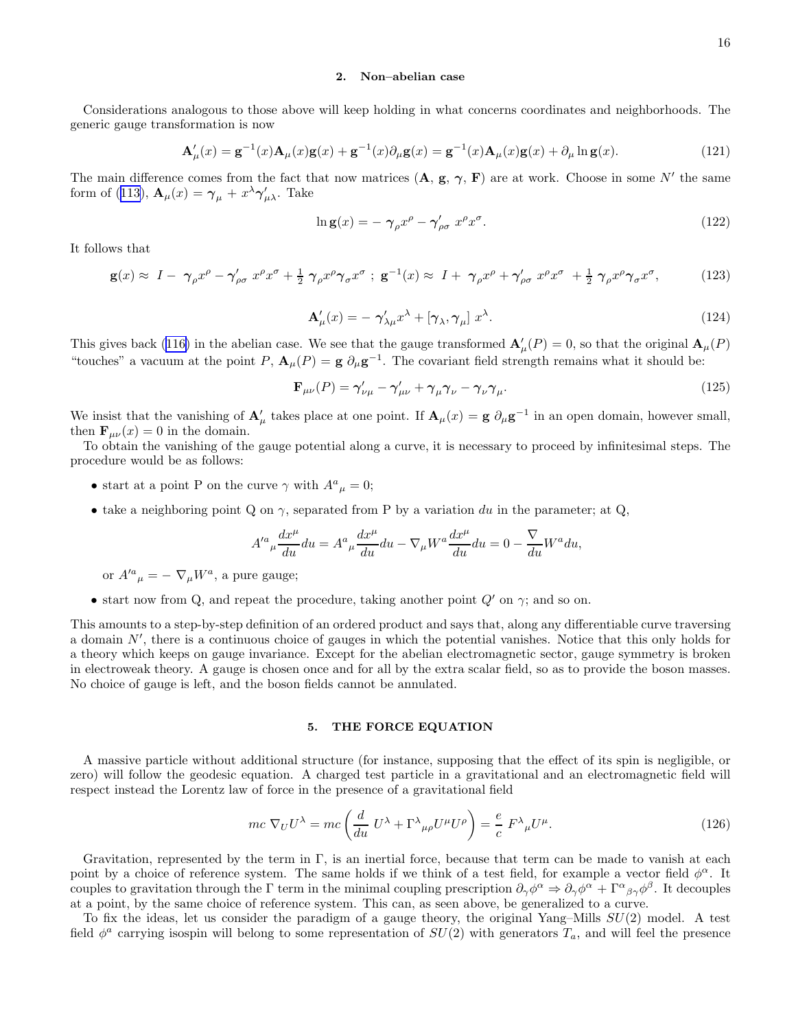# 2. Non–abelian case

<span id="page-15-0"></span>Considerations analogous to those above will keep holding in what concerns coordinates and neighborhoods. The generic gauge transformation is now

$$
\mathbf{A}'_{\mu}(x) = \mathbf{g}^{-1}(x)\mathbf{A}_{\mu}(x)\mathbf{g}(x) + \mathbf{g}^{-1}(x)\partial_{\mu}\mathbf{g}(x) = \mathbf{g}^{-1}(x)\mathbf{A}_{\mu}(x)\mathbf{g}(x) + \partial_{\mu}\ln\mathbf{g}(x).
$$
(121)

The main difference comes from the fact that now matrices  $(A, g, \gamma, F)$  are at work. Choose in some N' the same formof ([113\)](#page-14-0),  $\mathbf{A}_{\mu}(x) = \boldsymbol{\gamma}_{\mu} + x^{\lambda} \boldsymbol{\gamma}'_{\mu\lambda}$ . Take

$$
\ln \mathbf{g}(x) = -\gamma_{\rho} x^{\rho} - \gamma_{\rho\sigma}' x^{\rho} x^{\sigma}.
$$
\n(122)

It follows that

$$
\mathbf{g}(x) \approx I - \gamma_{\rho} x^{\rho} - \gamma_{\rho\sigma}' x^{\rho} x^{\sigma} + \frac{1}{2} \gamma_{\rho} x^{\rho} \gamma_{\sigma} x^{\sigma} ; \ \mathbf{g}^{-1}(x) \approx I + \gamma_{\rho} x^{\rho} + \gamma_{\rho\sigma}' x^{\rho} x^{\sigma} + \frac{1}{2} \gamma_{\rho} x^{\rho} \gamma_{\sigma} x^{\sigma}, \tag{123}
$$

$$
\mathbf{A}'_{\mu}(x) = -\ \gamma'_{\lambda\mu}x^{\lambda} + [\gamma_{\lambda}, \gamma_{\mu}] \ x^{\lambda}.
$$
 (124)

Thisgives back ([116\)](#page-14-0) in the abelian case. We see that the gauge transformed  ${\bf A}'_{\mu}(P) = 0$ , so that the original  ${\bf A}_{\mu}(P)$ "touches" a vacuum at the point P,  $\mathbf{A}_{\mu}(P) = \mathbf{g} \partial_{\mu} \mathbf{g}^{-1}$ . The covariant field strength remains what it should be:

$$
\mathbf{F}_{\mu\nu}(P) = \gamma_{\nu\mu}' - \gamma_{\mu\nu}' + \gamma_{\mu}\gamma_{\nu} - \gamma_{\nu}\gamma_{\mu}.
$$
\n(125)

We insist that the vanishing of  $\mathbf{A}'_\mu$  takes place at one point. If  $\mathbf{A}_\mu(x) = \mathbf{g} \partial_\mu \mathbf{g}^{-1}$  in an open domain, however small, then  $\mathbf{F}_{\mu\nu}(x) = 0$  in the domain.

To obtain the vanishing of the gauge potential along a curve, it is necessary to proceed by infinitesimal steps. The procedure would be as follows:

- start at a point P on the curve  $\gamma$  with  $A^a{}_\mu = 0$ ;
- take a neighboring point Q on  $\gamma$ , separated from P by a variation du in the parameter; at Q,

$$
A'^a{}_\mu \frac{dx^\mu}{du} du = A^a{}_\mu \frac{dx^\mu}{du} du - \nabla_\mu W^a \frac{dx^\mu}{du} du = 0 - \frac{\nabla}{du} W^a du,
$$

or  $A'^a{}_\mu = - \nabla_\mu W^a$ , a pure gauge;

• start now from Q, and repeat the procedure, taking another point  $Q'$  on  $\gamma$ ; and so on.

This amounts to a step-by-step definition of an ordered product and says that, along any differentiable curve traversing a domain  $N'$ , there is a continuous choice of gauges in which the potential vanishes. Notice that this only holds for a theory which keeps on gauge invariance. Except for the abelian electromagnetic sector, gauge symmetry is broken in electroweak theory. A gauge is chosen once and for all by the extra scalar field, so as to provide the boson masses. No choice of gauge is left, and the boson fields cannot be annulated.

# 5. THE FORCE EQUATION

A massive particle without additional structure (for instance, supposing that the effect of its spin is negligible, or zero) will follow the geodesic equation. A charged test particle in a gravitational and an electromagnetic field will respect instead the Lorentz law of force in the presence of a gravitational field

$$
mc \nabla_U U^{\lambda} = mc \left( \frac{d}{du} U^{\lambda} + \Gamma^{\lambda}{}_{\mu\rho} U^{\mu} U^{\rho} \right) = \frac{e}{c} F^{\lambda}{}_{\mu} U^{\mu}.
$$
 (126)

Gravitation, represented by the term in Γ, is an inertial force, because that term can be made to vanish at each point by a choice of reference system. The same holds if we think of a test field, for example a vector field  $\phi^{\alpha}$ . It couples to gravitation through the  $\Gamma$  term in the minimal coupling prescription  $\partial_{\gamma}\phi^{\alpha} \Rightarrow \partial_{\gamma}\phi^{\alpha} + \Gamma^{\alpha}{}_{\beta\gamma}\phi^{\beta}$ . It decouples at a point, by the same choice of reference system. This can, as seen above, be generalized to a curve.

To fix the ideas, let us consider the paradigm of a gauge theory, the original Yang–Mills  $SU(2)$  model. A test field  $\phi^a$  carrying isospin will belong to some representation of  $SU(2)$  with generators  $T_a$ , and will feel the presence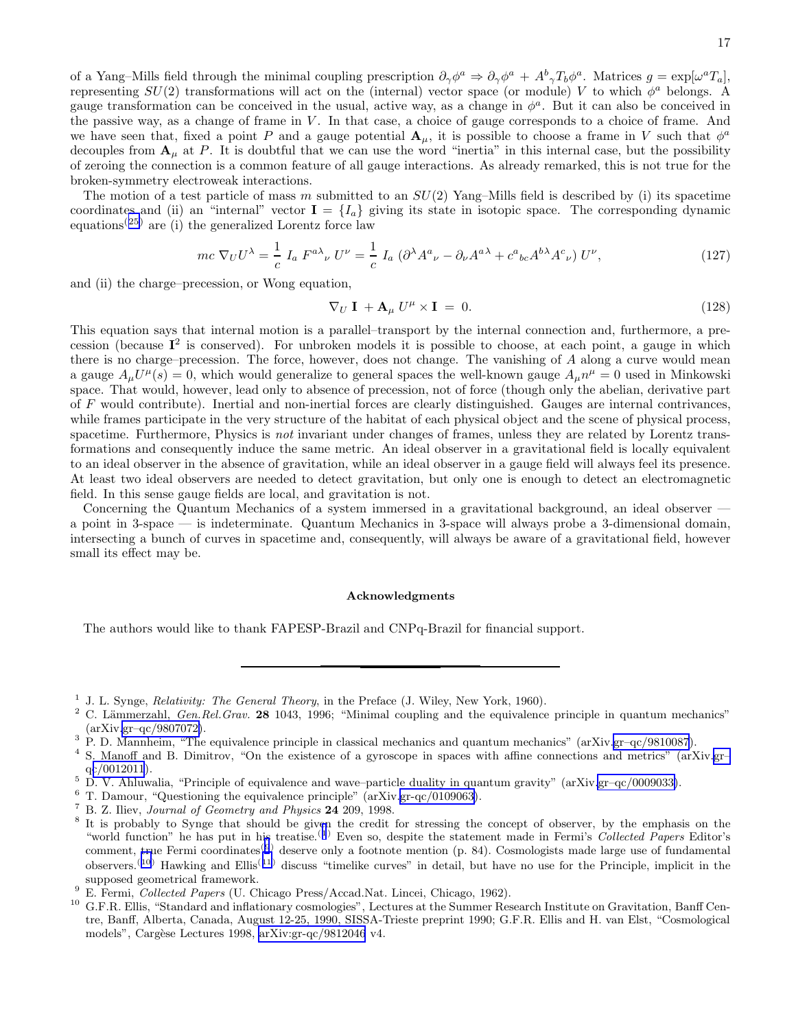<span id="page-16-0"></span>of a Yang–Mills field through the minimal coupling prescription  $\partial_{\gamma}\phi^a \Rightarrow \partial_{\gamma}\phi^a + A^b{}_{\gamma}T_b\phi^a$ . Matrices  $g = \exp[\omega^a T_a]$ , representing  $SU(2)$  transformations will act on the (internal) vector space (or module) V to which  $\phi^a$  belongs. A gauge transformation can be conceived in the usual, active way, as a change in  $\phi^a$ . But it can also be conceived in the passive way, as a change of frame in V. In that case, a choice of gauge corresponds to a choice of frame. And we have seen that, fixed a point P and a gauge potential  $\mathbf{A}_{\mu}$ , it is possible to choose a frame in V such that  $\phi^a$ decouples from  $A_\mu$  at P. It is doubtful that we can use the word "inertia" in this internal case, but the possibility of zeroing the connection is a common feature of all gauge interactions. As already remarked, this is not true for the broken-symmetry electroweak interactions.

The motion of a test particle of mass m submitted to an  $SU(2)$  Yang–Mills field is described by (i) its spacetime coordinates and (ii) an "internal" vector  $I = \{I_a\}$  giving its state in isotopic space. The corresponding dynamic equations<sup> $(25)$  $(25)$  $(25)$ </sup> are (i) the generalized Lorentz force law

$$
mc \nabla_U U^{\lambda} = \frac{1}{c} I_a F^{a\lambda}{}_{\nu} U^{\nu} = \frac{1}{c} I_a (\partial^{\lambda} A^a{}_{\nu} - \partial_{\nu} A^{a\lambda} + c^a{}_{bc} A^{b\lambda} A^c{}_{\nu}) U^{\nu}, \qquad (127)
$$

and (ii) the charge–precession, or Wong equation,

$$
\nabla_U \mathbf{I} + \mathbf{A}_{\mu} U^{\mu} \times \mathbf{I} = 0. \qquad (128)
$$

This equation says that internal motion is a parallel–transport by the internal connection and, furthermore, a precession (because  $I^2$  is conserved). For unbroken models it is possible to choose, at each point, a gauge in which there is no charge–precession. The force, however, does not change. The vanishing of A along a curve would mean a gauge  $A_\mu U^\mu(s) = 0$ , which would generalize to general spaces the well-known gauge  $A_\mu n^\mu = 0$  used in Minkowski space. That would, however, lead only to absence of precession, not of force (though only the abelian, derivative part of F would contribute). Inertial and non-inertial forces are clearly distinguished. Gauges are internal contrivances, while frames participate in the very structure of the habitat of each physical object and the scene of physical process, spacetime. Furthermore, Physics is not invariant under changes of frames, unless they are related by Lorentz transformations and consequently induce the same metric. An ideal observer in a gravitational field is locally equivalent to an ideal observer in the absence of gravitation, while an ideal observer in a gauge field will always feel its presence. At least two ideal observers are needed to detect gravitation, but only one is enough to detect an electromagnetic field. In this sense gauge fields are local, and gravitation is not.

Concerning the Quantum Mechanics of a system immersed in a gravitational background, an ideal observer a point in 3-space — is indeterminate. Quantum Mechanics in 3-space will always probe a 3-dimensional domain, intersecting a bunch of curves in spacetime and, consequently, will always be aware of a gravitational field, however small its effect may be.

### Acknowledgments

The authors would like to thank FAPESP-Brazil and CNPq-Brazil for financial support.

<sup>7</sup> B. Z. Iliev, Journal of Geometry and Physics 24 209, 1998.

 $<sup>1</sup>$  J. L. Synge, *Relativity: The General Theory*, in the Preface (J. Wiley, New York, 1960).</sup>

 $2$  C. Lämmerzahl, Gen.Rel.Grav. 28 1043, 1996; "Minimal coupling and the equivalence principle in quantum mechanics" (arXiv[.gr–qc/9807072\)](http://arxiv.org/abs/gr--qc/9807072).

<sup>&</sup>lt;sup>3</sup> P. D. Mannheim, "The equivalence principle in classical mechanics and quantum mechanics" (arXiv.gr-qc/9810087).

<sup>4</sup> S. Manoff and B. Dimitrov, "On the existence of a gyroscope in spaces with affine connections and metrics" (arXiv[.gr–](http://arxiv.org/abs/gr--qc/0012011) q[c/0012011](http://arxiv.org/abs/gr--qc/0012011)).

 $\frac{5}{5}$  D. V. Ahluwalia, "Principle of equivalence and wave–particle duality in quantum gravity" (arXiv[.gr–qc/0009033\)](http://arxiv.org/abs/gr--qc/0009033).

 $6$  T. Damour, "Questioning the equivalence principle" (arXiv.[gr-qc/0109063\)](http://arxiv.org/abs/gr-qc/0109063).

<sup>8</sup> It is probably to Synge that should be given the credit for stressing the concept of observer, by the emphasis on the "world function" he has put in his treatise.<sup>(1)</sup> Even so, despite the statement made in Fermi's *Collected Papers* Editor's comment, true Fermi coordinates<sup>(9)</sup> deserve only a footnote mention (p. 84). Cosmologists made large use of fundamental observers.<sup>(10)</sup> Hawking and Ellis<sup>([11](#page-17-0))</sup> discuss "timelike curves" in detail, but have no use for the Principle, implicit in the supposed geometrical framework.

<sup>&</sup>lt;sup>9</sup> E. Fermi, *Collected Papers* (U. Chicago Press/Accad.Nat. Lincei, Chicago, 1962).

<sup>&</sup>lt;sup>10</sup> G.F.R. Ellis, "Standard and inflationary cosmologies", Lectures at the Summer Research Institute on Gravitation, Banff Centre, Banff, Alberta, Canada, August 12-25, 1990, SISSA-Trieste preprint 1990; G.F.R. Ellis and H. van Elst, "Cosmological models", Cargèse Lectures 1998, [arXiv:gr-qc/9812046](http://arxiv.org/abs/gr-qc/9812046) v4.